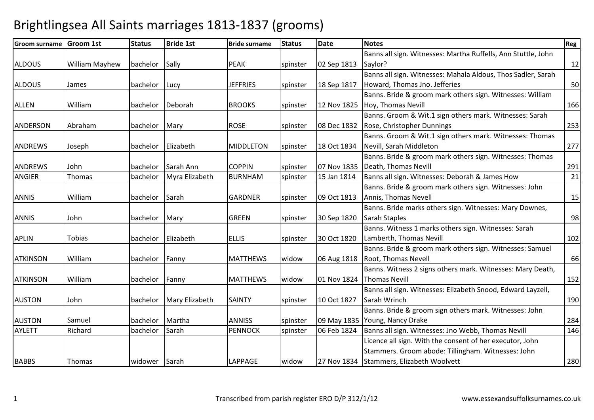| <b>Groom surname</b> | <b>Groom 1st</b>      | <b>Status</b>  | <b>Bride 1st</b>   | <b>Bride surname</b> | <b>Status</b> | <b>Date</b> | <b>Notes</b>                                                  | Reg |
|----------------------|-----------------------|----------------|--------------------|----------------------|---------------|-------------|---------------------------------------------------------------|-----|
|                      |                       |                |                    |                      |               |             | Banns all sign. Witnesses: Martha Ruffells, Ann Stuttle, John |     |
| <b>ALDOUS</b>        | <b>William Mayhew</b> | bachelor Sally |                    | <b>PEAK</b>          | spinster      | 02 Sep 1813 | Saylor?                                                       | 12  |
|                      |                       |                |                    |                      |               |             | Banns all sign. Witnesses: Mahala Aldous, Thos Sadler, Sarah  |     |
| <b>ALDOUS</b>        | James                 | bachelor       | Lucy               | <b>JEFFRIES</b>      | spinster      | 18 Sep 1817 | Howard, Thomas Jno. Jefferies                                 | 50  |
|                      |                       |                |                    |                      |               |             | Banns. Bride & groom mark others sign. Witnesses: William     |     |
| <b>ALLEN</b>         | William               | bachelor       | Deborah            | <b>BROOKS</b>        | spinster      | 12 Nov 1825 | Hoy, Thomas Nevill                                            | 166 |
|                      |                       |                |                    |                      |               |             | Banns. Groom & Wit.1 sign others mark. Witnesses: Sarah       |     |
| <b>ANDERSON</b>      | Abraham               | bachelor       | Mary               | <b>ROSE</b>          | spinster      | 08 Dec 1832 | Rose, Christopher Dunnings                                    | 253 |
|                      |                       |                |                    |                      |               |             | Banns. Groom & Wit.1 sign others mark. Witnesses: Thomas      |     |
| <b>ANDREWS</b>       | Joseph                | bachelor       | Elizabeth          | <b>MIDDLETON</b>     | spinster      | 18 Oct 1834 | Nevill, Sarah Middleton                                       | 277 |
|                      |                       |                |                    |                      |               |             | Banns. Bride & groom mark others sign. Witnesses: Thomas      |     |
| <b>ANDREWS</b>       | John                  | bachelor       | Sarah Ann          | <b>COPPIN</b>        | spinster      | 07 Nov 1835 | Death, Thomas Nevill                                          | 291 |
| <b>ANGIER</b>        | Thomas                | bachelor       | Myra Elizabeth     | <b>BURNHAM</b>       | spinster      | 15 Jan 1814 | Banns all sign. Witnesses: Deborah & James How                | 21  |
|                      |                       |                |                    |                      |               |             | Banns. Bride & groom mark others sign. Witnesses: John        |     |
| <b>ANNIS</b>         | William               | bachelor       | Sarah              | <b>GARDNER</b>       | spinster      | 09 Oct 1813 | Annis, Thomas Nevell                                          | 15  |
|                      |                       |                |                    |                      |               |             | Banns. Bride marks others sign. Witnesses: Mary Downes,       |     |
| <b>ANNIS</b>         | John                  | bachelor       | Mary               | <b>GREEN</b>         | spinster      | 30 Sep 1820 | Sarah Staples                                                 | 98  |
|                      |                       |                |                    |                      |               |             | Banns. Witness 1 marks others sign. Witnesses: Sarah          |     |
| <b>APLIN</b>         | Tobias                |                | bachelor Elizabeth | <b>ELLIS</b>         | spinster      | 30 Oct 1820 | Lamberth, Thomas Nevill                                       | 102 |
|                      |                       |                |                    |                      |               |             | Banns. Bride & groom mark others sign. Witnesses: Samuel      |     |
| <b>ATKINSON</b>      | William               | bachelor       | Fanny              | <b>MATTHEWS</b>      | widow         | 06 Aug 1818 | Root, Thomas Nevell                                           | 66  |
|                      |                       |                |                    |                      |               |             | Banns. Witness 2 signs others mark. Witnesses: Mary Death,    |     |
| <b>ATKINSON</b>      | William               | bachelor       | Fanny              | <b>MATTHEWS</b>      | widow         | 01 Nov 1824 | <b>Thomas Nevill</b>                                          | 152 |
|                      |                       |                |                    |                      |               |             | Banns all sign. Witnesses: Elizabeth Snood, Edward Layzell,   |     |
| <b>AUSTON</b>        | John                  | bachelor       | Mary Elizabeth     | <b>SAINTY</b>        | spinster      | 10 Oct 1827 | Sarah Wrinch                                                  | 190 |
|                      |                       |                |                    |                      |               |             | Banns. Bride & groom sign others mark. Witnesses: John        |     |
| <b>AUSTON</b>        | Samuel                | bachelor       | Martha             | <b>ANNISS</b>        | spinster      | 09 May 1835 | Young, Nancy Drake                                            | 284 |
| <b>AYLETT</b>        | Richard               | bachelor       | Sarah              | <b>PENNOCK</b>       | spinster      | 06 Feb 1824 | Banns all sign. Witnesses: Jno Webb, Thomas Nevill            | 146 |
|                      |                       |                |                    |                      |               |             | Licence all sign. With the consent of her executor, John      |     |
|                      |                       |                |                    |                      |               |             | Stammers. Groom abode: Tillingham. Witnesses: John            |     |
| <b>BABBS</b>         | Thomas                | widower Sarah  |                    | LAPPAGE              | widow         | 27 Nov 1834 | Stammers, Elizabeth Woolvett                                  | 280 |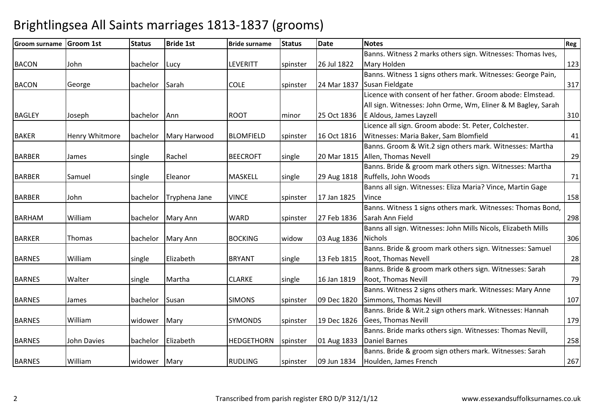| <b>Groom surname</b> | <b>Groom 1st</b> | <b>Status</b>  | <b>Bride 1st</b> | <b>Bride surname</b> | <b>Status</b> | <b>Date</b> | <b>Notes</b>                                                  | <b>Reg</b> |
|----------------------|------------------|----------------|------------------|----------------------|---------------|-------------|---------------------------------------------------------------|------------|
|                      |                  |                |                  |                      |               |             | Banns. Witness 2 marks others sign. Witnesses: Thomas Ives,   |            |
| <b>BACON</b>         | John             | bachelor       | Lucy             | LEVERITT             | spinster      | 26 Jul 1822 | Mary Holden                                                   | 123        |
|                      |                  |                |                  |                      |               |             | Banns. Witness 1 signs others mark. Witnesses: George Pain,   |            |
| <b>BACON</b>         | George           | bachelor Sarah |                  | <b>COLE</b>          | spinster      | 24 Mar 1837 | Susan Fieldgate                                               | 317        |
|                      |                  |                |                  |                      |               |             | Licence with consent of her father. Groom abode: Elmstead.    |            |
|                      |                  |                |                  |                      |               |             | All sign. Witnesses: John Orme, Wm, Eliner & M Bagley, Sarah  |            |
| <b>BAGLEY</b>        | Joseph           | bachelor       | Ann              | <b>ROOT</b>          | minor         | 25 Oct 1836 | E Aldous, James Layzell                                       | 310        |
|                      |                  |                |                  |                      |               |             | Licence all sign. Groom abode: St. Peter, Colchester.         |            |
| <b>BAKER</b>         | Henry Whitmore   | bachelor       | Mary Harwood     | <b>BLOMFIELD</b>     | spinster      | 16 Oct 1816 | Witnesses: Maria Baker, Sam Blomfield                         | 41         |
|                      |                  |                |                  |                      |               |             | Banns. Groom & Wit.2 sign others mark. Witnesses: Martha      |            |
| <b>BARBER</b>        | James            | single         | Rachel           | <b>BEECROFT</b>      | single        | 20 Mar 1815 | Allen, Thomas Nevell                                          | 29         |
|                      |                  |                |                  |                      |               |             | Banns. Bride & groom mark others sign. Witnesses: Martha      |            |
| <b>BARBER</b>        | Samuel           | single         | <b>IEleanor</b>  | MASKELL              | single        | 29 Aug 1818 | Ruffells, John Woods                                          | 71         |
|                      |                  |                |                  |                      |               |             | Banns all sign. Witnesses: Eliza Maria? Vince, Martin Gage    |            |
| <b>BARBER</b>        | John             | bachelor       | Tryphena Jane    | <b>VINCE</b>         | spinster      | 17 Jan 1825 | Vince                                                         | 158        |
|                      |                  |                |                  |                      |               |             | Banns. Witness 1 signs others mark. Witnesses: Thomas Bond,   |            |
| <b>BARHAM</b>        | William          | bachelor       | <b>Mary Ann</b>  | <b>WARD</b>          | spinster      | 27 Feb 1836 | Sarah Ann Field                                               | 298        |
|                      |                  |                |                  |                      |               |             | Banns all sign. Witnesses: John Mills Nicols, Elizabeth Mills |            |
| <b>BARKER</b>        | Thomas           | bachelor       | Mary Ann         | <b>BOCKING</b>       | widow         | 03 Aug 1836 | <b>Nichols</b>                                                | 306        |
|                      |                  |                |                  |                      |               |             | Banns. Bride & groom mark others sign. Witnesses: Samuel      |            |
| <b>BARNES</b>        | William          | single         | Elizabeth        | <b>BRYANT</b>        | single        | 13 Feb 1815 | Root, Thomas Nevell                                           | 28         |
|                      |                  |                |                  |                      |               |             | Banns. Bride & groom mark others sign. Witnesses: Sarah       |            |
| <b>BARNES</b>        | Walter           | single         | Martha           | <b>CLARKE</b>        | single        | 16 Jan 1819 | Root, Thomas Nevill                                           | 79         |
|                      |                  |                |                  |                      |               |             | Banns. Witness 2 signs others mark. Witnesses: Mary Anne      |            |
| <b>BARNES</b>        | James            | bachelor       | Susan            | <b>SIMONS</b>        | spinster      | 09 Dec 1820 | Simmons, Thomas Nevill                                        | 107        |
|                      |                  |                |                  |                      |               |             | Banns. Bride & Wit.2 sign others mark. Witnesses: Hannah      |            |
| <b>BARNES</b>        | William          | widower        | Mary             | <b>SYMONDS</b>       | spinster      | 19 Dec 1826 | Gees, Thomas Nevill                                           | 179        |
|                      |                  |                |                  |                      |               |             | Banns. Bride marks others sign. Witnesses: Thomas Nevill,     |            |
| <b>BARNES</b>        | John Davies      | bachelor       | Elizabeth        | <b>HEDGETHORN</b>    | spinster      | 01 Aug 1833 | <b>Daniel Barnes</b>                                          | 258        |
|                      |                  |                |                  |                      |               |             | Banns. Bride & groom sign others mark. Witnesses: Sarah       |            |
| <b>BARNES</b>        | William          | widower        | Mary             | <b>RUDLING</b>       | spinster      | 09 Jun 1834 | Houlden, James French                                         | 267        |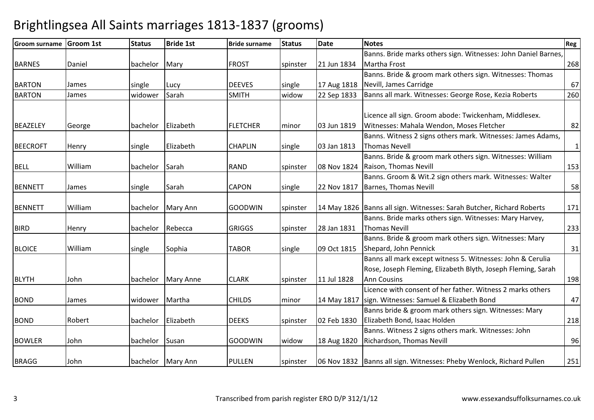| <b>Groom surname</b> | <b>Groom 1st</b> | <b>Status</b>  | <b>Bride 1st</b>   | <b>Bride surname</b> | <b>Status</b> | <b>Date</b> | <b>Notes</b>                                                           | <b>Reg</b>   |
|----------------------|------------------|----------------|--------------------|----------------------|---------------|-------------|------------------------------------------------------------------------|--------------|
|                      |                  |                |                    |                      |               |             | Banns. Bride marks others sign. Witnesses: John Daniel Barnes,         |              |
| <b>BARNES</b>        | Daniel           | bachelor       | Mary               | <b>FROST</b>         | spinster      | 21 Jun 1834 | Martha Frost                                                           | 268          |
|                      |                  |                |                    |                      |               |             | Banns. Bride & groom mark others sign. Witnesses: Thomas               |              |
| <b>BARTON</b>        | James            | single         | Lucy               | <b>DEEVES</b>        | single        | 17 Aug 1818 | Nevill, James Carridge                                                 | 67           |
| <b>BARTON</b>        | James            | widower        | Sarah              | <b>SMITH</b>         | widow         | 22 Sep 1833 | Banns all mark. Witnesses: George Rose, Kezia Roberts                  | 260          |
|                      |                  |                |                    |                      |               |             |                                                                        |              |
|                      |                  |                |                    |                      |               |             | Licence all sign. Groom abode: Twickenham, Middlesex.                  |              |
| <b>BEAZELEY</b>      | George           |                | bachelor Elizabeth | <b>FLETCHER</b>      | minor         | 03 Jun 1819 | Witnesses: Mahala Wendon, Moses Fletcher                               | 82           |
|                      |                  |                |                    |                      |               |             | Banns. Witness 2 signs others mark. Witnesses: James Adams,            |              |
| <b>BEECROFT</b>      | Henry            | single         | Elizabeth          | <b>CHAPLIN</b>       | single        | 03 Jan 1813 | <b>Thomas Nevell</b>                                                   | $\mathbf{1}$ |
|                      |                  |                |                    |                      |               |             | Banns. Bride & groom mark others sign. Witnesses: William              |              |
| <b>BELL</b>          | William          | bachelor       | Sarah              | <b>RAND</b>          | spinster      | 08 Nov 1824 | Raison, Thomas Nevill                                                  | 153          |
|                      |                  |                |                    |                      |               |             | Banns. Groom & Wit.2 sign others mark. Witnesses: Walter               |              |
| <b>BENNETT</b>       | James            | single         | Sarah              | CAPON                | single        | 22 Nov 1817 | <b>Barnes, Thomas Nevill</b>                                           | 58           |
|                      |                  |                |                    |                      |               |             |                                                                        |              |
| <b>BENNETT</b>       | William          | bachelor       | Mary Ann           | <b>GOODWIN</b>       | spinster      |             | 14 May 1826 Banns all sign. Witnesses: Sarah Butcher, Richard Roberts  | 171          |
|                      |                  |                |                    |                      |               |             | Banns. Bride marks others sign. Witnesses: Mary Harvey,                |              |
| <b>BIRD</b>          | Henry            | bachelor       | Rebecca            | <b>GRIGGS</b>        | spinster      | 28 Jan 1831 | <b>Thomas Nevill</b>                                                   | 233          |
|                      |                  |                |                    |                      |               |             | Banns. Bride & groom mark others sign. Witnesses: Mary                 |              |
| <b>BLOICE</b>        | William          | single         | Sophia             | <b>TABOR</b>         | single        | 09 Oct 1815 | Shepard, John Pennick                                                  | 31           |
|                      |                  |                |                    |                      |               |             | Banns all mark except witness 5. Witnesses: John & Cerulia             |              |
|                      |                  |                |                    |                      |               |             | Rose, Joseph Fleming, Elizabeth Blyth, Joseph Fleming, Sarah           |              |
| <b>BLYTH</b>         | John             | bachelor       | <b>Mary Anne</b>   | <b>CLARK</b>         | spinster      | 11 Jul 1828 | <b>Ann Cousins</b>                                                     | 198          |
|                      |                  |                |                    |                      |               |             | Licence with consent of her father. Witness 2 marks others             |              |
| <b>BOND</b>          | James            | widower Martha |                    | <b>CHILDS</b>        | minor         | 14 May 1817 | sign. Witnesses: Samuel & Elizabeth Bond                               | 47           |
|                      |                  |                |                    |                      |               |             | Banns bride & groom mark others sign. Witnesses: Mary                  |              |
| <b>BOND</b>          | Robert           | bachelor       | Elizabeth          | <b>DEEKS</b>         | spinster      | 02 Feb 1830 | Elizabeth Bond, Isaac Holden                                           | 218          |
|                      |                  |                |                    |                      |               |             | Banns. Witness 2 signs others mark. Witnesses: John                    |              |
| <b>BOWLER</b>        | John             | bachelor       | Susan              | <b>GOODWIN</b>       | widow         | 18 Aug 1820 | Richardson, Thomas Nevill                                              | 96           |
|                      |                  |                |                    |                      |               |             |                                                                        |              |
| <b>BRAGG</b>         | John             |                | bachelor Mary Ann  | <b>PULLEN</b>        | spinster      |             | 06 Nov 1832   Banns all sign. Witnesses: Pheby Wenlock, Richard Pullen | 251          |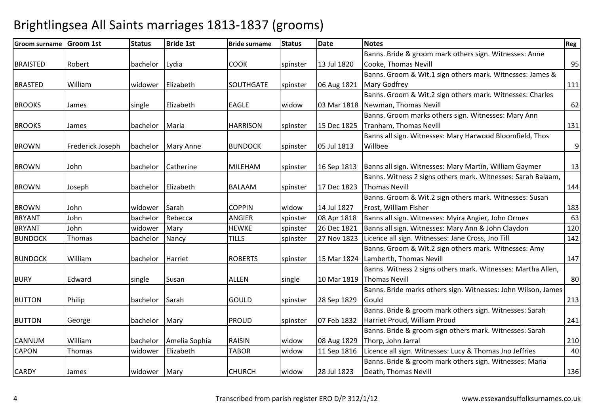| <b>Groom surname</b> | <b>Groom 1st</b> | <b>Status</b> | <b>Bride 1st</b> | <b>Bride surname</b> | <b>Status</b> | Date        | <b>Notes</b>                                                  | Reg         |
|----------------------|------------------|---------------|------------------|----------------------|---------------|-------------|---------------------------------------------------------------|-------------|
|                      |                  |               |                  |                      |               |             | Banns. Bride & groom mark others sign. Witnesses: Anne        |             |
| <b>BRAISTED</b>      | Robert           | bachelor      | Lydia            | <b>COOK</b>          | spinster      | 13 Jul 1820 | Cooke, Thomas Nevill                                          | 95          |
|                      |                  |               |                  |                      |               |             | Banns. Groom & Wit.1 sign others mark. Witnesses: James &     |             |
| <b>BRASTED</b>       | William          | widower       | Elizabeth        | <b>SOUTHGATE</b>     | spinster      | 06 Aug 1821 | <b>Mary Godfrey</b>                                           | 111         |
|                      |                  |               |                  |                      |               |             | Banns. Groom & Wit.2 sign others mark. Witnesses: Charles     |             |
| <b>BROOKS</b>        | James            | single        | Elizabeth        | <b>EAGLE</b>         | widow         | 03 Mar 1818 | Newman, Thomas Nevill                                         | 62          |
|                      |                  |               |                  |                      |               |             | Banns. Groom marks others sign. Witnesses: Mary Ann           |             |
| <b>BROOKS</b>        | James            | bachelor      | Maria            | <b>HARRISON</b>      | spinster      | 15 Dec 1825 | Tranham, Thomas Nevill                                        | 131         |
|                      |                  |               |                  |                      |               |             | Banns all sign. Witnesses: Mary Harwood Bloomfield, Thos      |             |
| <b>BROWN</b>         | Frederick Joseph | bachelor      | <b>Mary Anne</b> | <b>BUNDOCK</b>       | spinster      | 05 Jul 1813 | Willbee                                                       | $\mathsf g$ |
|                      |                  |               |                  |                      |               |             |                                                               |             |
| <b>BROWN</b>         | John             | bachelor      | Catherine        | <b>MILEHAM</b>       | spinster      | 16 Sep 1813 | Banns all sign. Witnesses: Mary Martin, William Gaymer        | 13          |
|                      |                  |               |                  |                      |               |             | Banns. Witness 2 signs others mark. Witnesses: Sarah Balaam,  |             |
| <b>BROWN</b>         | Joseph           | bachelor      | Elizabeth        | <b>BALAAM</b>        | spinster      | 17 Dec 1823 | <b>Thomas Nevill</b>                                          | 144         |
|                      |                  |               |                  |                      |               |             | Banns. Groom & Wit.2 sign others mark. Witnesses: Susan       |             |
| <b>BROWN</b>         | John             | widower       | Sarah            | <b>COPPIN</b>        | widow         | 14 Jul 1827 | Frost, William Fisher                                         | 183         |
| <b>BRYANT</b>        | John             | bachelor      | Rebecca          | <b>ANGIER</b>        | spinster      | 08 Apr 1818 | Banns all sign. Witnesses: Myira Angier, John Ormes           | 63          |
| <b>BRYANT</b>        | John             | widower       | Mary             | <b>HEWKE</b>         | spinster      | 26 Dec 1821 | Banns all sign. Witnesses: Mary Ann & John Claydon            | 120         |
| <b>BUNDOCK</b>       | Thomas           | bachelor      | Nancy            | <b>TILLS</b>         | spinster      | 27 Nov 1823 | Licence all sign. Witnesses: Jane Cross, Jno Till             | 142         |
|                      |                  |               |                  |                      |               |             | Banns. Groom & Wit.2 sign others mark. Witnesses: Amy         |             |
| <b>BUNDOCK</b>       | William          | bachelor      | Harriet          | <b>ROBERTS</b>       | spinster      | 15 Mar 1824 | Lamberth, Thomas Nevill                                       | 147         |
|                      |                  |               |                  |                      |               |             | Banns. Witness 2 signs others mark. Witnesses: Martha Allen,  |             |
| <b>BURY</b>          | Edward           | single        | Susan            | <b>ALLEN</b>         | single        | 10 Mar 1819 | <b>Thomas Nevill</b>                                          | 80          |
|                      |                  |               |                  |                      |               |             | Banns. Bride marks others sign. Witnesses: John Wilson, James |             |
| <b>BUTTON</b>        | Philip           | bachelor      | Sarah            | <b>GOULD</b>         | spinster      | 28 Sep 1829 | Gould                                                         | 213         |
|                      |                  |               |                  |                      |               |             | Banns. Bride & groom mark others sign. Witnesses: Sarah       |             |
| <b>BUTTON</b>        | George           | bachelor      | Mary             | <b>PROUD</b>         | spinster      | 07 Feb 1832 | Harriet Proud, William Proud                                  | 241         |
|                      |                  |               |                  |                      |               |             | Banns. Bride & groom sign others mark. Witnesses: Sarah       |             |
| <b>CANNUM</b>        | William          | bachelor      | Amelia Sophia    | <b>RAISIN</b>        | widow         | 08 Aug 1829 | Thorp, John Jarral                                            | 210         |
| <b>CAPON</b>         | Thomas           | widower       | Elizabeth        | <b>TABOR</b>         | widow         | 11 Sep 1816 | Licence all sign. Witnesses: Lucy & Thomas Jno Jeffries       | 40          |
|                      |                  |               |                  |                      |               |             | Banns. Bride & groom mark others sign. Witnesses: Maria       |             |
| <b>CARDY</b>         | James            | widower       | Mary             | <b>CHURCH</b>        | widow         | 28 Jul 1823 | Death, Thomas Nevill                                          | 136         |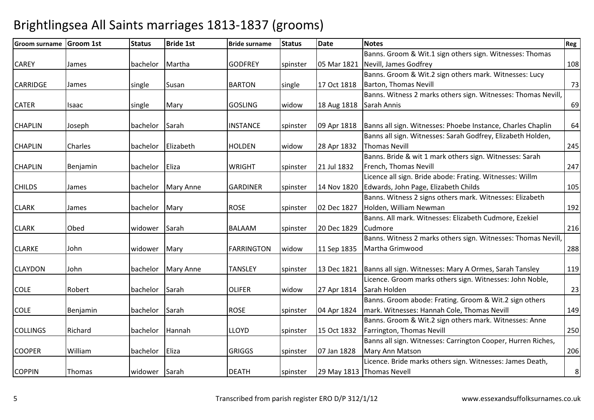| <b>Groom surname</b> | <b>Groom 1st</b> | <b>Status</b>  | <b>Bride 1st</b> | <b>Bride surname</b> | <b>Status</b> | <b>Date</b> | <b>Notes</b>                                                  | Reg |
|----------------------|------------------|----------------|------------------|----------------------|---------------|-------------|---------------------------------------------------------------|-----|
|                      |                  |                |                  |                      |               |             | Banns. Groom & Wit.1 sign others sign. Witnesses: Thomas      |     |
| <b>CAREY</b>         | James            | bachelor       | Martha           | <b>GODFREY</b>       | spinster      | 05 Mar 1821 | Nevill, James Godfrey                                         | 108 |
|                      |                  |                |                  |                      |               |             | Banns. Groom & Wit.2 sign others mark. Witnesses: Lucy        |     |
| <b>CARRIDGE</b>      | James            | single         | Susan            | <b>BARTON</b>        | single        | 17 Oct 1818 | <b>Barton, Thomas Nevill</b>                                  | 73  |
|                      |                  |                |                  |                      |               |             | Banns. Witness 2 marks others sign. Witnesses: Thomas Nevill, |     |
| <b>CATER</b>         | Isaac            | single         | Mary             | <b>GOSLING</b>       | widow         | 18 Aug 1818 | Sarah Annis                                                   | 69  |
|                      |                  |                |                  |                      |               |             |                                                               |     |
| <b>CHAPLIN</b>       | Joseph           | bachelor       | Sarah            | <b>INSTANCE</b>      | spinster      | 09 Apr 1818 | Banns all sign. Witnesses: Phoebe Instance, Charles Chaplin   | 64  |
|                      |                  |                |                  |                      |               |             | Banns all sign. Witnesses: Sarah Godfrey, Elizabeth Holden,   |     |
| <b>CHAPLIN</b>       | Charles          | bachelor       | Elizabeth        | <b>HOLDEN</b>        | widow         | 28 Apr 1832 | <b>Thomas Nevill</b>                                          | 245 |
|                      |                  |                |                  |                      |               |             | Banns. Bride & wit 1 mark others sign. Witnesses: Sarah       |     |
| <b>CHAPLIN</b>       | Benjamin         | bachelor       | Eliza            | <b>WRIGHT</b>        | spinster      | 21 Jul 1832 | French, Thomas Nevill                                         | 247 |
|                      |                  |                |                  |                      |               |             | Licence all sign. Bride abode: Frating. Witnesses: Willm      |     |
| <b>CHILDS</b>        | James            | bachelor       | <b>Mary Anne</b> | <b>GARDINER</b>      | spinster      | 14 Nov 1820 | Edwards, John Page, Elizabeth Childs                          | 105 |
|                      |                  |                |                  |                      |               |             | Banns. Witness 2 signs others mark. Witnesses: Elizabeth      |     |
| <b>CLARK</b>         | James            | bachelor Mary  |                  | <b>ROSE</b>          | spinster      | 02 Dec 1827 | Holden, William Newman                                        | 192 |
|                      |                  |                |                  |                      |               |             | Banns. All mark. Witnesses: Elizabeth Cudmore, Ezekiel        |     |
| <b>CLARK</b>         | Obed             | widower        | Sarah            | <b>BALAAM</b>        | spinster      | 20 Dec 1829 | Cudmore                                                       | 216 |
|                      |                  |                |                  |                      |               |             | Banns. Witness 2 marks others sign. Witnesses: Thomas Nevill, |     |
| <b>CLARKE</b>        | John             | widower        | Mary             | <b>FARRINGTON</b>    | widow         | 11 Sep 1835 | Martha Grimwood                                               | 288 |
|                      |                  |                |                  |                      |               |             |                                                               |     |
| <b>CLAYDON</b>       | John             | bachelor       | <b>Mary Anne</b> | <b>TANSLEY</b>       | spinster      | 13 Dec 1821 | Banns all sign. Witnesses: Mary A Ormes, Sarah Tansley        | 119 |
|                      |                  |                |                  |                      |               |             | Licence. Groom marks others sign. Witnesses: John Noble,      |     |
| <b>COLE</b>          | Robert           | bachelor Sarah |                  | <b>OLIFER</b>        | widow         | 27 Apr 1814 | Sarah Holden                                                  | 23  |
|                      |                  |                |                  |                      |               |             | Banns. Groom abode: Frating. Groom & Wit.2 sign others        |     |
| <b>COLE</b>          | Benjamin         | bachelor Sarah |                  | <b>ROSE</b>          | spinster      | 04 Apr 1824 | mark. Witnesses: Hannah Cole, Thomas Nevill                   | 149 |
|                      |                  |                |                  |                      |               |             | Banns. Groom & Wit.2 sign others mark. Witnesses: Anne        |     |
| <b>COLLINGS</b>      | Richard          | bachelor       | Hannah           | <b>LLOYD</b>         | spinster      | 15 Oct 1832 | Farrington, Thomas Nevill                                     | 250 |
|                      |                  |                |                  |                      |               |             | Banns all sign. Witnesses: Carrington Cooper, Hurren Riches,  |     |
| <b>COOPER</b>        | William          | bachelor       | Eliza            | <b>GRIGGS</b>        | spinster      | 07 Jan 1828 | Mary Ann Matson                                               | 206 |
|                      |                  |                |                  |                      |               |             | Licence. Bride marks others sign. Witnesses: James Death,     |     |
| <b>COPPIN</b>        | Thomas           | widower Sarah  |                  | <b>DEATH</b>         | spinster      |             | 29 May 1813 Thomas Nevell                                     | 8   |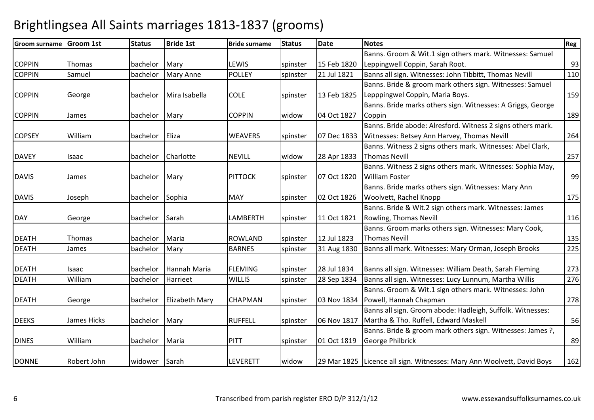| <b>Groom surname</b> | <b>Groom 1st</b> | <b>Status</b>   | <b>Bride 1st</b>        | <b>Bride surname</b> | <b>Status</b> | <b>Date</b> | <b>Notes</b>                                                           | <b>Reg</b> |
|----------------------|------------------|-----------------|-------------------------|----------------------|---------------|-------------|------------------------------------------------------------------------|------------|
|                      |                  |                 |                         |                      |               |             | Banns. Groom & Wit.1 sign others mark. Witnesses: Samuel               |            |
| <b>COPPIN</b>        | Thomas           | bachelor        | Mary                    | LEWIS                | spinster      | 15 Feb 1820 | Leppingwell Coppin, Sarah Root.                                        | 93         |
| <b>COPPIN</b>        | Samuel           | bachelor        | <b>Mary Anne</b>        | POLLEY               | spinster      | 21 Jul 1821 | Banns all sign. Witnesses: John Tibbitt, Thomas Nevill                 | 110        |
|                      |                  |                 |                         |                      |               |             | Banns. Bride & groom mark others sign. Witnesses: Samuel               |            |
| <b>COPPIN</b>        | George           | bachelor        | Mira Isabella           | <b>COLE</b>          | spinster      | 13 Feb 1825 | Lepppingwel Coppin, Maria Boys.                                        | 159        |
|                      |                  |                 |                         |                      |               |             | Banns. Bride marks others sign. Witnesses: A Griggs, George            |            |
| <b>COPPIN</b>        | James            | bachelor Mary   |                         | <b>COPPIN</b>        | widow         | 04 Oct 1827 | Coppin                                                                 | 189        |
|                      |                  |                 |                         |                      |               |             | Banns. Bride abode: Alresford. Witness 2 signs others mark.            |            |
| <b>COPSEY</b>        | William          | bachelor        | Eliza                   | <b>WEAVERS</b>       | spinster      | 07 Dec 1833 | Witnesses: Betsey Ann Harvey, Thomas Nevill                            | 264        |
|                      |                  |                 |                         |                      |               |             | Banns. Witness 2 signs others mark. Witnesses: Abel Clark,             |            |
| <b>DAVEY</b>         | Isaac            | bachelor        | Charlotte               | <b>NEVILL</b>        | widow         | 28 Apr 1833 | <b>Thomas Nevill</b>                                                   | 257        |
|                      |                  |                 |                         |                      |               |             | Banns. Witness 2 signs others mark. Witnesses: Sophia May,             |            |
| <b>DAVIS</b>         | James            | bachelor Mary   |                         | <b>PITTOCK</b>       | spinster      | 07 Oct 1820 | <b>William Foster</b>                                                  | 99         |
|                      |                  |                 |                         |                      |               |             | Banns. Bride marks others sign. Witnesses: Mary Ann                    |            |
| <b>DAVIS</b>         | Joseph           | bachelor Sophia |                         | <b>MAY</b>           | spinster      | 02 Oct 1826 | Woolvett, Rachel Knopp                                                 | 175        |
|                      |                  |                 |                         |                      |               |             | Banns. Bride & Wit.2 sign others mark. Witnesses: James                |            |
| <b>DAY</b>           | George           | bachelor        | Sarah                   | LAMBERTH             | spinster      | 11 Oct 1821 | Rowling, Thomas Nevill                                                 | 116        |
|                      |                  |                 |                         |                      |               |             | Banns. Groom marks others sign. Witnesses: Mary Cook,                  |            |
| <b>DEATH</b>         | Thomas           | bachelor        | Maria                   | <b>ROWLAND</b>       | spinster      | 12 Jul 1823 | <b>Thomas Nevill</b>                                                   | 135        |
| <b>DEATH</b>         | James            | bachelor        | Mary                    | <b>BARNES</b>        | spinster      | 31 Aug 1830 | Banns all mark. Witnesses: Mary Orman, Joseph Brooks                   | 225        |
|                      |                  |                 |                         |                      |               |             |                                                                        |            |
| <b>DEATH</b>         | Isaac            | bachelor        | Hannah Maria            | <b>FLEMING</b>       | spinster      | 28 Jul 1834 | Banns all sign. Witnesses: William Death, Sarah Fleming                | 273        |
| <b>DEATH</b>         | William          | bachelor        | Harrieet                | <b>WILLIS</b>        | spinster      | 28 Sep 1834 | Banns all sign. Witnesses: Lucy Lunnum, Martha Willis                  | 276        |
|                      |                  |                 |                         |                      |               |             | Banns. Groom & Wit.1 sign others mark. Witnesses: John                 |            |
| <b>DEATH</b>         | George           |                 | bachelor Elizabeth Mary | <b>CHAPMAN</b>       | spinster      | 03 Nov 1834 | Powell, Hannah Chapman                                                 | 278        |
|                      |                  |                 |                         |                      |               |             | Banns all sign. Groom abode: Hadleigh, Suffolk. Witnesses:             |            |
| <b>DEEKS</b>         | James Hicks      | bachelor Mary   |                         | <b>RUFFELL</b>       | spinster      | 06 Nov 1817 | Martha & Tho. Ruffell, Edward Maskell                                  | 56         |
|                      |                  |                 |                         |                      |               |             | Banns. Bride & groom mark others sign. Witnesses: James ?,             |            |
| <b>DINES</b>         | William          | bachelor Maria  |                         | <b>PITT</b>          | spinster      | 01 Oct 1819 | George Philbrick                                                       | 89         |
|                      |                  |                 |                         |                      |               |             |                                                                        |            |
| <b>DONNE</b>         | Robert John      | widower Sarah   |                         | LEVERETT             | widow         |             | 29 Mar 1825 Licence all sign. Witnesses: Mary Ann Woolvett, David Boys | 162        |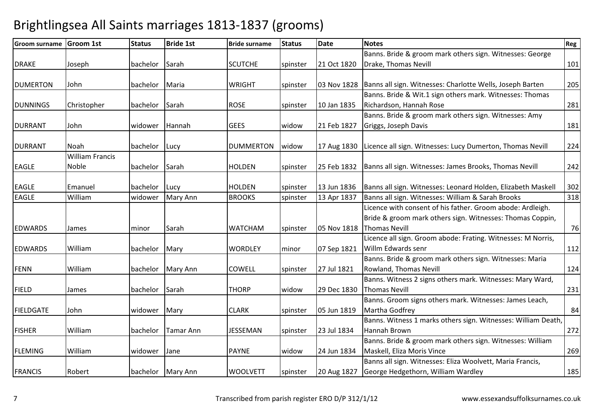| <b>Groom surname</b> | <b>Groom 1st</b>       | <b>Status</b> | <b>Bride 1st</b> | <b>Bride surname</b> | <b>Status</b> | <b>Date</b> | <b>Notes</b>                                                  | Reg |
|----------------------|------------------------|---------------|------------------|----------------------|---------------|-------------|---------------------------------------------------------------|-----|
|                      |                        |               |                  |                      |               |             | Banns. Bride & groom mark others sign. Witnesses: George      |     |
| <b>DRAKE</b>         | Joseph                 | bachelor      | Sarah            | <b>SCUTCHE</b>       | spinster      | 21 Oct 1820 | Drake, Thomas Nevill                                          | 101 |
|                      |                        |               |                  |                      |               |             |                                                               |     |
| <b>DUMERTON</b>      | John                   | bachelor      | Maria            | <b>WRIGHT</b>        | spinster      | 03 Nov 1828 | Banns all sign. Witnesses: Charlotte Wells, Joseph Barten     | 205 |
|                      |                        |               |                  |                      |               |             | Banns. Bride & Wit.1 sign others mark. Witnesses: Thomas      |     |
| <b>DUNNINGS</b>      | Christopher            | bachelor      | Sarah            | <b>ROSE</b>          | spinster      | 10 Jan 1835 | Richardson, Hannah Rose                                       | 281 |
|                      |                        |               |                  |                      |               |             | Banns. Bride & groom mark others sign. Witnesses: Amy         |     |
| <b>DURRANT</b>       | John                   | widower       | Hannah           | <b>GEES</b>          | widow         | 21 Feb 1827 | Griggs, Joseph Davis                                          | 181 |
| <b>DURRANT</b>       | Noah                   | bachelor      | Lucy             | <b>DUMMERTON</b>     | widow         | 17 Aug 1830 | Licence all sign. Witnesses: Lucy Dumerton, Thomas Nevill     | 224 |
|                      | <b>William Francis</b> |               |                  |                      |               |             |                                                               |     |
| <b>EAGLE</b>         | Noble                  | bachelor      | Sarah            | <b>HOLDEN</b>        | spinster      | 25 Feb 1832 | Banns all sign. Witnesses: James Brooks, Thomas Nevill        | 242 |
|                      |                        |               |                  |                      |               |             |                                                               |     |
| <b>EAGLE</b>         | Emanuel                | bachelor      | Lucy             | <b>HOLDEN</b>        | spinster      | 13 Jun 1836 | Banns all sign. Witnesses: Leonard Holden, Elizabeth Maskell  | 302 |
| <b>EAGLE</b>         | William                | widower       | Mary Ann         | <b>BROOKS</b>        | spinster      | 13 Apr 1837 | Banns all sign. Witnesses: William & Sarah Brooks             | 318 |
|                      |                        |               |                  |                      |               |             | Licence with consent of his father. Groom abode: Ardleigh.    |     |
|                      |                        |               |                  |                      |               |             | Bride & groom mark others sign. Witnesses: Thomas Coppin,     |     |
| <b>EDWARDS</b>       | James                  | minor         | Sarah            | <b>WATCHAM</b>       | spinster      | 05 Nov 1818 | <b>Thomas Nevill</b>                                          | 76  |
|                      |                        |               |                  |                      |               |             | Licence all sign. Groom abode: Frating. Witnesses: M Norris,  |     |
| <b>EDWARDS</b>       | William                | bachelor      | Mary             | <b>WORDLEY</b>       | minor         | 07 Sep 1821 | Willm Edwards senr                                            | 112 |
|                      |                        |               |                  |                      |               |             | Banns. Bride & groom mark others sign. Witnesses: Maria       |     |
| <b>FENN</b>          | William                | bachelor      | Mary Ann         | <b>COWELL</b>        | spinster      | 27 Jul 1821 | Rowland, Thomas Nevill                                        | 124 |
|                      |                        |               |                  |                      |               |             | Banns. Witness 2 signs others mark. Witnesses: Mary Ward,     |     |
| <b>FIELD</b>         | James                  | bachelor      | Sarah            | <b>THORP</b>         | widow         | 29 Dec 1830 | <b>Thomas Nevill</b>                                          | 231 |
|                      |                        |               |                  |                      |               |             | Banns. Groom signs others mark. Witnesses: James Leach,       |     |
| <b>FIELDGATE</b>     | John                   | widower       | Mary             | <b>CLARK</b>         | spinster      | 05 Jun 1819 | Martha Godfrey                                                | 84  |
|                      |                        |               |                  |                      |               |             | Banns. Witness 1 marks others sign. Witnesses: William Death, |     |
| <b>FISHER</b>        | William                | bachelor      | <b>Tamar Ann</b> | <b>JESSEMAN</b>      | spinster      | 23 Jul 1834 | Hannah Brown                                                  | 272 |
|                      |                        |               |                  |                      |               |             | Banns. Bride & groom mark others sign. Witnesses: William     |     |
| <b>FLEMING</b>       | William                | widower       | Jane             | <b>PAYNE</b>         | widow         | 24 Jun 1834 | Maskell, Eliza Moris Vince                                    | 269 |
|                      |                        |               |                  |                      |               |             | Banns all sign. Witnesses: Eliza Woolvett, Maria Francis,     |     |
| <b>FRANCIS</b>       | Robert                 | bachelor      | <b>Mary Ann</b>  | <b>WOOLVETT</b>      | spinster      | 20 Aug 1827 | George Hedgethorn, William Wardley                            | 185 |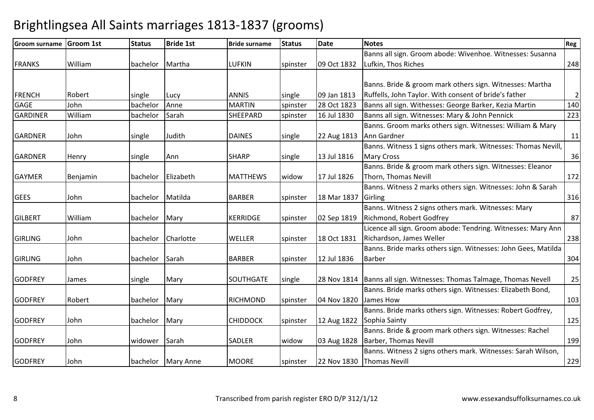#### Groom surname Groom 1st Status Bride 1st Bride surname Status Datee Notes Reg FRANKS William bachelor Martha LUFKIN spinster 09 Oct 1832 Banns all sign. Groom abode: Wivenhoe. Witnesses: Susanna Lufkin, Thos Riches $\sim$  248 FRENCHH Robert Single Lucy ANNIS Single 09 Jan 1813 Banns. Bride & groom mark others sign. Witnesses: Martha Ruffells, John Taylor. With consent of bride's fatherr | 2 140 GAGE Johnn bachelor Anne MARTIN Spinster 1823 Banns all sign. Withesses: George Barker, Kezia Martin 140 and Extine 140<br>SHEEPARD spinster 16 Jul 1830 Banns all sign. Witnesses: Mary & John Pennick 223 GARDINER Williambachelor Sarah SHEEPARD Spinster 16 Jul 1830 Banns all sign. Witnesses: Mary & John Pennick GARDNERR John single Judith DAINES single 22 Aug 1813 Banns. Groom marks others sign. Witnesses: William & Mary Ann Gardner<u>r</u> 11 GARDNERR Henry Single Ann SHARP single 13 Jul 1816 Banns. Witness 1 signs others mark. Witnesses: Thomas Nevill, Mary Cross $\sim$  36 GAYMERR Benjamin bachelor Elizabeth MATTHEWS widow 17 Jul 1826 Banns. Bride & groom mark others sign. Witnesses: Eleanor Thorn, Thomas Nevill **172** GEES Johnn 18 bachelor Matilda BARBER spinster 18 Mar 1837 Banns. Witness 2 marks others sign. Witnesses: John & Sarah Girlingg 316 **GILBERT**  William bachelor Mary KERRIDGE spinster 02 Sep 1819 Banns. Witness 2 signs others mark. Witnesses: Mary Richmond, Robert Godfreyy 87 GIRLINGG John bachelor Charlotte WELLER spinster 18 Oct 1831 Licence all sign. Groom abode: Tendring. Witnesses: Mary Ann Richardson, James Wellerr 1238 GIRLINGG John bachelor Sarah BARBER spinster 12 Jul 1836 Banns. Bride marks others sign. Witnesses: John Gees, Matilda Barberr 304 **GODFREY** Y James Single Mary SOUTHGATE single 28 Nov 1814 28 Nov 1814 | Banns all sign. Witnesses: Thomas Talmage, Thomas Nevell | 25 **GODFREY** Y Robert **bachelor Mary RICHMOND** spinster 04 Nov 1820 Banns. Bride marks others sign. Witnesses: Elizabeth Bond, James How<u>w 103</u> GODFREY Johnn 12 bachelor Mary CHIDDOCK spinster 12 Aug 1822 Banns. Bride marks others sign. Witnesses: Robert Godfrey, Sophia Saintyy 125 **GODFREY**  Johnn 1993 | Widower Sarah 1994 | SADLER | Widow 103 Aug 1828 Banns. Bride & groom mark others sign. Witnesses: Rachel Barber, Thomas Nevill199 **GODFREY**  Johnn 1990 bachelor Mary Anne MOORE spinster 22 Nov 1830 Banns. Witness 2 signs others mark. Witnesses: Sarah Wilson, Thomas Nevill229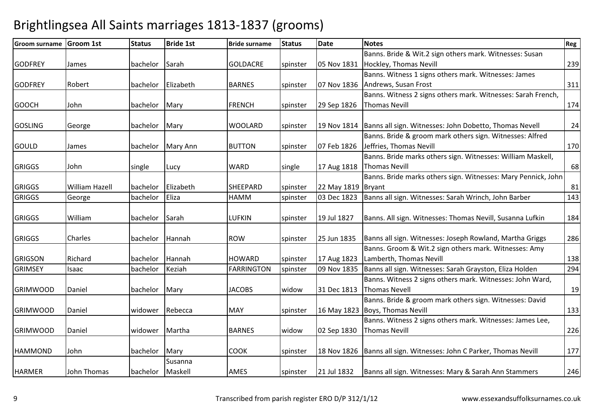| <b>Groom surname</b> | <b>Groom 1st</b> | <b>Status</b> | <b>Bride 1st</b> | <b>Bride surname</b> | <b>Status</b> | <b>Date</b>        | <b>Notes</b>                                                          | Reg |
|----------------------|------------------|---------------|------------------|----------------------|---------------|--------------------|-----------------------------------------------------------------------|-----|
|                      |                  |               |                  |                      |               |                    | Banns. Bride & Wit.2 sign others mark. Witnesses: Susan               |     |
| <b>GODFREY</b>       | James            | bachelor      | Sarah            | <b>GOLDACRE</b>      | spinster      | 05 Nov 1831        | Hockley, Thomas Nevill                                                | 239 |
|                      |                  |               |                  |                      |               |                    | Banns. Witness 1 signs others mark. Witnesses: James                  |     |
| <b>GODFREY</b>       | Robert           | bachelor      | Elizabeth        | <b>BARNES</b>        | spinster      | 07 Nov 1836        | Andrews, Susan Frost                                                  | 311 |
|                      |                  |               |                  |                      |               |                    | Banns. Witness 2 signs others mark. Witnesses: Sarah French,          |     |
| <b>GOOCH</b>         | John             | bachelor      | Mary             | <b>FRENCH</b>        | spinster      | 29 Sep 1826        | <b>Thomas Nevill</b>                                                  | 174 |
|                      |                  |               |                  |                      |               |                    |                                                                       |     |
| <b>GOSLING</b>       | George           | bachelor      | Mary             | <b>WOOLARD</b>       | spinster      |                    | 19 Nov 1814   Banns all sign. Witnesses: John Dobetto, Thomas Nevell  | 24  |
|                      |                  |               |                  |                      |               |                    | Banns. Bride & groom mark others sign. Witnesses: Alfred              |     |
| <b>GOULD</b>         | James            | bachelor      | Mary Ann         | <b>BUTTON</b>        | spinster      | 07 Feb 1826        | Jeffries, Thomas Nevill                                               | 170 |
|                      |                  |               |                  |                      |               |                    | Banns. Bride marks others sign. Witnesses: William Maskell,           |     |
| <b>GRIGGS</b>        | John             | single        | Lucy             | <b>WARD</b>          | single        | 17 Aug 1818        | <b>Thomas Nevill</b>                                                  | 68  |
|                      |                  |               |                  |                      |               |                    | Banns. Bride marks others sign. Witnesses: Mary Pennick, John         |     |
| <b>GRIGGS</b>        | William Hazell   | bachelor      | Elizabeth        | <b>SHEEPARD</b>      | spinster      | 22 May 1819 Bryant |                                                                       | 81  |
| <b>GRIGGS</b>        | George           | bachelor      | Eliza            | HAMM                 | spinster      | 03 Dec 1823        | Banns all sign. Witnesses: Sarah Wrinch, John Barber                  | 143 |
| <b>GRIGGS</b>        | William          | bachelor      | Sarah            | <b>LUFKIN</b>        | spinster      | 19 Jul 1827        | Banns. All sign. Witnesses: Thomas Nevill, Susanna Lufkin             | 184 |
|                      |                  |               |                  |                      |               |                    |                                                                       |     |
| <b>GRIGGS</b>        | Charles          | bachelor      | Hannah           | <b>ROW</b>           | spinster      | 25 Jun 1835        | Banns all sign. Witnesses: Joseph Rowland, Martha Griggs              | 286 |
|                      |                  |               |                  |                      |               |                    | Banns. Groom & Wit.2 sign others mark. Witnesses: Amy                 |     |
| <b>GRIGSON</b>       | Richard          | bachelor      | Hannah           | <b>HOWARD</b>        | spinster      | 17 Aug 1823        | Lamberth, Thomas Nevill                                               | 138 |
| <b>GRIMSEY</b>       | Isaac            | bachelor      | Keziah           | <b>FARRINGTON</b>    | spinster      | 09 Nov 1835        | Banns all sign. Witnesses: Sarah Grayston, Eliza Holden               | 294 |
|                      |                  |               |                  |                      |               |                    | Banns. Witness 2 signs others mark. Witnesses: John Ward,             |     |
| <b>GRIMWOOD</b>      | Daniel           | bachelor      | Mary             | <b>JACOBS</b>        | widow         | 31 Dec 1813        | Thomas Nevell                                                         | 19  |
|                      |                  |               |                  |                      |               |                    | Banns. Bride & groom mark others sign. Witnesses: David               |     |
| <b>GRIMWOOD</b>      | Daniel           | widower       | Rebecca          | <b>MAY</b>           | spinster      | 16 May 1823        | Boys, Thomas Nevill                                                   | 133 |
|                      |                  |               |                  |                      |               |                    | Banns. Witness 2 signs others mark. Witnesses: James Lee,             |     |
| <b>GRIMWOOD</b>      | Daniel           | widower       | Martha           | <b>BARNES</b>        | widow         | 02 Sep 1830        | Thomas Nevill                                                         | 226 |
| <b>HAMMOND</b>       | John             | bachelor      | Mary             | <b>COOK</b>          | spinster      |                    | 18 Nov 1826   Banns all sign. Witnesses: John C Parker, Thomas Nevill | 177 |
|                      |                  |               | Susanna          |                      |               |                    |                                                                       |     |
| <b>HARMER</b>        | John Thomas      | bachelor      | Maskell          | AMES                 | spinster      | 21 Jul 1832        | Banns all sign. Witnesses: Mary & Sarah Ann Stammers                  | 246 |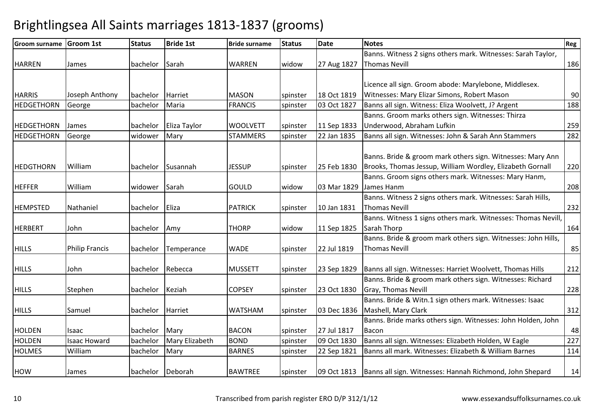#### Groom surname Groom 1st Status Bride 1st Bride surname Status Datee Notes Reg HARREN James bachelor Sarah WARREN widow 27 Aug 1827 Banns. Witness 2 signs others mark. Witnesses: Sarah Taylor, Thomas Nevill186 **HARRIS** Joseph Anthony bachelor Harriet MASON spinster 18 Oct 1819<br>George bachelor Maria REANCIS spinster 03 Oct 1827 03 Oct 1827 Licence all sign. Groom abode: Marylebone, Middlesex. Witnesses: Mary Elizar Simons, Robert Masonn 90 188 HEDGETHORN George bachelor Maria FRANCIS spinster 03 Oct 1827 Banns all sign. Witness: Eliza Woolvett, J? Argent <sup>188</sup> HEDGETHORNN James bachelor Eliza Taylor WOOLVETT spinster 11 Sep 1833 Banns. Groom marks others sign. Witnesses: Thirza Underwood, Abraham Lufkinn 259 282 HEDGETHORNGeorge widower Mary STAMMERS spinster 22 Jan 1835 Banns all sign. Witnesses: John & Sarah Ann Stammers 282 HEDGTHORN William bachelor Susannah JESSUP spinster 25 Feb 1830 Banns. Bride & groom mark others sign. Witnesses: Mary Ann Brooks, Thomas Jessup, William Wordley, Elizabeth Gornall 220HEFFER William widower Sarah GOULD widow 03 Mar 1829 Banns. Groom signs others mark. Witnesses: Mary Hanm, James Hanm <sup>208</sup> Banns. Witness 2 signs others mark. Witnesses: Sarah Hills, HEMPSTEDD Nathaniel bachelor Eliza PATRICK spinster 10 Jan 1831 Thomas Nevill 232HERBERT John bachelor Amy THORP widow 11 Sep 1825Banns. Witness 1 signs others mark. Witnesses: Thomas Nevill, Sarah Thorpp 164 HILLSS 1991 Philip Francis bachelor Temperance WADE spinster 22 Jul 1819 Banns. Bride & groom mark others sign. Witnesses: John Hills, Thomas Nevilll 85 HILLS Johnn 1990 bachelor Rebecca MUSSETT spinster 23 Sep 1829 Banns all sign. Witnesses: Harriet Woolvett, Thomas Hills <sup>212</sup> HILLS**Stephen** n bachelor Keziah COPSEY spinster 23 Oct 1830 Banns. Bride & groom mark others sign. Witnesses: Richard Gray, Thomas Nevill 228HILLS Samuel bachelor Harriet WATSHAM spinster 03 Dec 1836Banns. Bride & Witn.1 sign others mark. Witnesses: Isaac Mashell, Mary Clarkk 312 HOLDENN Isaac bachelor Mary BACON spinster 27 Jul 1817 Banns. Bride marks others sign. Witnesses: John Holden, John Baconn 48 227 HOLDENIsaac Howard bachelor Mary Elizabeth BOND spinster 09 Oct 1830 Banns all sign. Witnesses: Elizabeth Holden, W Eagle 227<br>William bachelor Mary BARNES spinster 22 Sep 1821 Banns all mark. Witnesses: Elizabeth & William Barne HOLMES Williamspinster 22 Sep 1821 Banns all mark. Witnesses: Elizabeth & William Barnes **HOW** James bachelor Deborah BAWTREE spinster 09 Oct 1813 Banns all sign. Witnesses: Hannah Richmond, John Shepard <sup>14</sup>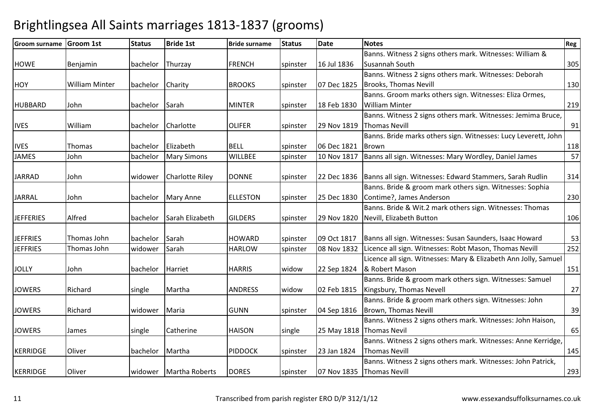| <b>Groom surname</b> | <b>Groom 1st</b>      | <b>Status</b> | <b>Bride 1st</b>       | <b>Bride surname</b> | <b>Status</b> | <b>Date</b> | <b>Notes</b>                                                           | Reg |
|----------------------|-----------------------|---------------|------------------------|----------------------|---------------|-------------|------------------------------------------------------------------------|-----|
|                      |                       |               |                        |                      |               |             | Banns. Witness 2 signs others mark. Witnesses: William &               |     |
| <b>HOWE</b>          | Benjamin              | bachelor      | Thurzay                | <b>FRENCH</b>        | spinster      | 16 Jul 1836 | Susannah South                                                         | 305 |
|                      |                       |               |                        |                      |               |             | Banns. Witness 2 signs others mark. Witnesses: Deborah                 |     |
| <b>HOY</b>           | <b>William Minter</b> | bachelor      | Charity                | <b>BROOKS</b>        | spinster      | 07 Dec 1825 | <b>Brooks, Thomas Nevill</b>                                           | 130 |
|                      |                       |               |                        |                      |               |             | Banns. Groom marks others sign. Witnesses: Eliza Ormes,                |     |
| <b>HUBBARD</b>       | John                  | bachelor      | Sarah                  | <b>MINTER</b>        | spinster      | 18 Feb 1830 | <b>William Minter</b>                                                  | 219 |
|                      |                       |               |                        |                      |               |             | Banns. Witness 2 signs others mark. Witnesses: Jemima Bruce,           |     |
| <b>IVES</b>          | William               |               | bachelor Charlotte     | <b>OLIFER</b>        | spinster      | 29 Nov 1819 | <b>Thomas Nevill</b>                                                   | 91  |
|                      |                       |               |                        |                      |               |             | Banns. Bride marks others sign. Witnesses: Lucy Leverett, John         |     |
| <b>IVES</b>          | Thomas                | bachelor      | Elizabeth              | <b>BELL</b>          | spinster      | 06 Dec 1821 | Brown                                                                  | 118 |
| <b>JAMES</b>         | John                  | bachelor      | <b>Mary Simons</b>     | WILLBEE              | spinster      | 10 Nov 1817 | Banns all sign. Witnesses: Mary Wordley, Daniel James                  | 57  |
|                      |                       |               |                        |                      |               |             |                                                                        |     |
| <b>JARRAD</b>        | John                  | widower       | <b>Charlotte Riley</b> | <b>DONNE</b>         | spinster      |             | 22 Dec 1836   Banns all sign. Witnesses: Edward Stammers, Sarah Rudlin | 314 |
|                      |                       |               |                        |                      |               |             | Banns. Bride & groom mark others sign. Witnesses: Sophia               |     |
| <b>JARRAL</b>        | John                  | bachelor      | <b>Mary Anne</b>       | <b>ELLESTON</b>      | spinster      | 25 Dec 1830 | Contime?, James Anderson                                               | 230 |
|                      |                       |               |                        |                      |               |             | Banns. Bride & Wit.2 mark others sign. Witnesses: Thomas               |     |
| <b>JEFFERIES</b>     | Alfred                | bachelor      | Sarah Elizabeth        | <b>GILDERS</b>       | spinster      | 29 Nov 1820 | Nevill, Elizabeth Button                                               | 106 |
|                      |                       |               |                        |                      |               |             |                                                                        |     |
| <b>JEFFRIES</b>      | Thomas John           | bachelor      | Sarah                  | <b>HOWARD</b>        | spinster      | 09 Oct 1817 | Banns all sign. Witnesses: Susan Saunders, Isaac Howard                | 53  |
| <b>JEFFRIES</b>      | Thomas John           | widower       | Sarah                  | <b>HARLOW</b>        | spinster      | 08 Nov 1832 | Licence all sign. Witnesses: Robt Mason, Thomas Nevill                 | 252 |
|                      |                       |               |                        |                      |               |             | Licence all sign. Witnesses: Mary & Elizabeth Ann Jolly, Samuel        |     |
| <b>JOLLY</b>         | John                  | bachelor      | Harriet                | <b>HARRIS</b>        | widow         | 22 Sep 1824 | & Robert Mason                                                         | 151 |
|                      |                       |               |                        |                      |               |             | Banns. Bride & groom mark others sign. Witnesses: Samuel               |     |
| <b>JOWERS</b>        | Richard               | single        | Martha                 | <b>ANDRESS</b>       | widow         | 02 Feb 1815 | Kingsbury, Thomas Nevell                                               | 27  |
|                      |                       |               |                        |                      |               |             | Banns. Bride & groom mark others sign. Witnesses: John                 |     |
| <b>JOWERS</b>        | Richard               | widower       | Maria                  | <b>GUNN</b>          | spinster      | 04 Sep 1816 | Brown, Thomas Nevill                                                   | 39  |
|                      |                       |               |                        |                      |               |             | Banns. Witness 2 signs others mark. Witnesses: John Haison,            |     |
| <b>JOWERS</b>        | James                 | single        | Catherine              | <b>HAISON</b>        | single        |             | 25 May 1818 Thomas Nevil                                               | 65  |
|                      |                       |               |                        |                      |               |             | Banns. Witness 2 signs others mark. Witnesses: Anne Kerridge,          |     |
| <b>KERRIDGE</b>      | Oliver                | bachelor      | Martha                 | <b>PIDDOCK</b>       | spinster      | 23 Jan 1824 | <b>Thomas Nevill</b>                                                   | 145 |
|                      |                       |               |                        |                      |               |             | Banns. Witness 2 signs others mark. Witnesses: John Patrick,           |     |
| <b>KERRIDGE</b>      | Oliver                |               | widower Martha Roberts | <b>DORES</b>         | spinster      |             | 07 Nov 1835 Thomas Nevill                                              | 293 |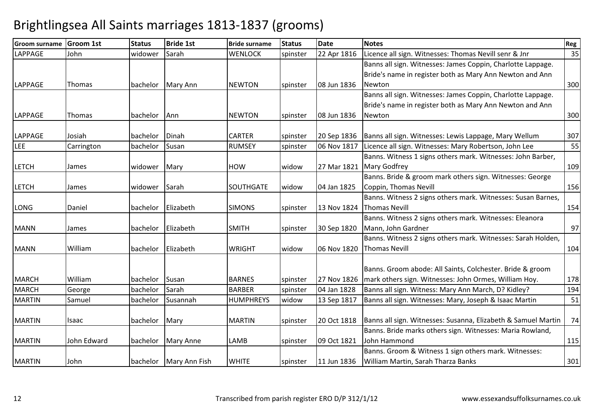| <b>Groom surname</b> | <b>Groom 1st</b> | <b>Status</b> | <b>Bride 1st</b>         | <b>Bride surname</b> | <b>Status</b> | <b>Date</b> | <b>Notes</b>                                                  | Reg |
|----------------------|------------------|---------------|--------------------------|----------------------|---------------|-------------|---------------------------------------------------------------|-----|
| <b>LAPPAGE</b>       | John             | widower       | Sarah                    | <b>WENLOCK</b>       | spinster      | 22 Apr 1816 | Licence all sign. Witnesses: Thomas Nevill senr & Jnr         | 35  |
|                      |                  |               |                          |                      |               |             | Banns all sign. Witnesses: James Coppin, Charlotte Lappage.   |     |
|                      |                  |               |                          |                      |               |             | Bride's name in register both as Mary Ann Newton and Ann      |     |
| <b>LAPPAGE</b>       | Thomas           | bachelor      | <b>Mary Ann</b>          | <b>NEWTON</b>        | spinster      | 08 Jun 1836 | Newton                                                        | 300 |
|                      |                  |               |                          |                      |               |             | Banns all sign. Witnesses: James Coppin, Charlotte Lappage.   |     |
|                      |                  |               |                          |                      |               |             | Bride's name in register both as Mary Ann Newton and Ann      |     |
| <b>LAPPAGE</b>       | Thomas           | bachelor      | Ann                      | <b>NEWTON</b>        | spinster      | 08 Jun 1836 | Newton                                                        | 300 |
|                      |                  |               |                          |                      |               |             |                                                               |     |
| <b>LAPPAGE</b>       | Josiah           | bachelor      | Dinah                    | <b>CARTER</b>        | spinster      | 20 Sep 1836 | Banns all sign. Witnesses: Lewis Lappage, Mary Wellum         | 307 |
| <b>LEE</b>           | Carrington       | bachelor      | Susan                    | <b>RUMSEY</b>        | spinster      | 06 Nov 1817 | Licence all sign. Witnesses: Mary Robertson, John Lee         | 55  |
|                      |                  |               |                          |                      |               |             | Banns. Witness 1 signs others mark. Witnesses: John Barber,   |     |
| <b>LETCH</b>         | James            | widower       | Mary                     | <b>HOW</b>           | widow         | 27 Mar 1821 | <b>Mary Godfrey</b>                                           | 109 |
|                      |                  |               |                          |                      |               |             | Banns. Bride & groom mark others sign. Witnesses: George      |     |
| <b>LETCH</b>         | James            | widower Sarah |                          | <b>SOUTHGATE</b>     | widow         | 04 Jan 1825 | Coppin, Thomas Nevill                                         | 156 |
|                      |                  |               |                          |                      |               |             | Banns. Witness 2 signs others mark. Witnesses: Susan Barnes,  |     |
| <b>LONG</b>          | Daniel           | bachelor      | Elizabeth                | <b>SIMONS</b>        | spinster      | 13 Nov 1824 | <b>Thomas Nevill</b>                                          | 154 |
|                      |                  |               |                          |                      |               |             | Banns. Witness 2 signs others mark. Witnesses: Eleanora       |     |
| <b>MANN</b>          | James            | bachelor      | Elizabeth                | <b>SMITH</b>         | spinster      | 30 Sep 1820 | Mann, John Gardner                                            | 97  |
|                      |                  |               |                          |                      |               |             | Banns. Witness 2 signs others mark. Witnesses: Sarah Holden,  |     |
| <b>MANN</b>          | William          | bachelor      | Elizabeth                | <b>WRIGHT</b>        | widow         | 06 Nov 1820 | <b>Thomas Nevill</b>                                          | 104 |
|                      |                  |               |                          |                      |               |             |                                                               |     |
|                      |                  |               |                          |                      |               |             | Banns. Groom abode: All Saints, Colchester. Bride & groom     |     |
| <b>MARCH</b>         | William          | bachelor      | Susan                    | <b>BARNES</b>        | spinster      | 27 Nov 1826 | mark others sign. Witnesses: John Ormes, William Hoy.         | 178 |
| <b>MARCH</b>         | George           | bachelor      | Sarah                    | <b>BARBER</b>        | spinster      | 04 Jan 1828 | Banns all sign. Witness: Mary Ann March, D? Kidley?           | 194 |
| <b>MARTIN</b>        | Samuel           | bachelor      | Susannah                 | <b>HUMPHREYS</b>     | widow         | 13 Sep 1817 | Banns all sign. Witnesses: Mary, Joseph & Isaac Martin        | 51  |
| <b>MARTIN</b>        | Isaac            | bachelor      | Mary                     | <b>MARTIN</b>        | spinster      | 20 Oct 1818 | Banns all sign. Witnesses: Susanna, Elizabeth & Samuel Martin | 74  |
|                      |                  |               |                          |                      |               |             | Banns. Bride marks others sign. Witnesses: Maria Rowland,     |     |
| <b>MARTIN</b>        | John Edward      | bachelor      | <b>Mary Anne</b>         | LAMB                 | spinster      | 09 Oct 1821 | John Hammond                                                  | 115 |
|                      |                  |               |                          |                      |               |             | Banns. Groom & Witness 1 sign others mark. Witnesses:         |     |
| <b>MARTIN</b>        | John             |               | bachelor   Mary Ann Fish | <b>WHITE</b>         | spinster      | 11 Jun 1836 | William Martin, Sarah Tharza Banks                            | 301 |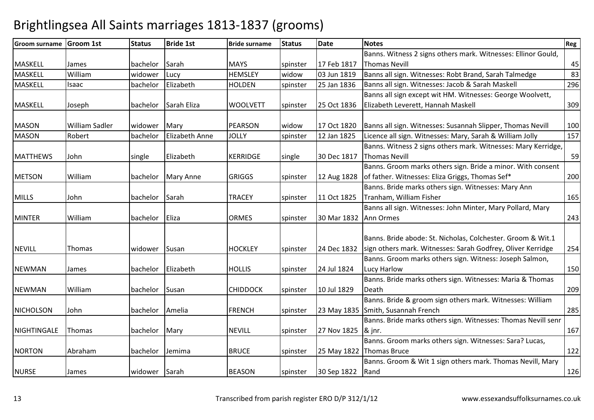#### Groom surname Groom 1st Status Bride 1st Bride surname Status Datee Notes Reg MASKELLL James bachelor Sarah MAYS spinster 17 Feb 1817 Banns. Witness 2 signs others mark. Witnesses: Ellinor Gould, Thomas Nevill 4583 MASKELL Williamwidower Lucy **HEMSLEY** widow 03 Jun 1819 Banns all sign. Witnesses: Robt Brand, Sarah Talmedge 83<br>Bachelor Elizabeth HOLDEN spinster 25 Jan 1836 Banns all sign. Witnesses: Jacob & Sarah Maskell 296 MASKELLIsaac **bachelor** Elizabeth HOLDENBanns all sign. Witnesses: Jacob & Sarah Maskell MASKELL Joseph bachelor Sarah Eliza WOOLVETT spinster 25 Oct 1836Banns all sign except wit HM. Witnesses: George Woolvett, Elizabeth Leverett, Hannah Maskell 309MASONWilliam Sadler widower Mary PEARSON widow 17 Oct 1820 Banns all sign. Witnesses: Susannah Slipper, Thomas Nevill 100<br>Robert bachelor Elizabeth Anne JOLLY spinster 12 Jan 1825 Licence all sign. Witnesses: Mary, Sarah & Will MASONLicence all sign. Witnesses: Mary, Sarah & William Jolly MATTHEWS Johnn 1991 single Elizabeth KERRIDGE single 30 Dec 1817 Banns. Witness 2 signs others mark. Witnesses: Mary Kerridge, Thomas Nevill 59METSON Williamm 12 Aug 1828<br> **bachelor Mary Anne 1988** Spinster 12 Aug 1828 Banns. Groom marks others sign. Bride a minor. With consent of father. Witnesses: Eliza Griggs, Thomas Sef\* $\sim$  200 MILLS Johnn 11 Dachelor Sarah TRACEY spinster 11 Oct 1825 Banns. Bride marks others sign. Witnesses: Mary Ann Tranham, William Fisher<u>and 165</u> MINTER William bachelor Eliza ORMES spinster 30 Mar 1832 Banns all sign. Witnesses: John Minter, Mary Pollard, Mary Ann Ormess and  $\sim$  243 NEVILLL Thomas Widower Susan HOCKLEY spinster 24 Dec 1832 Banns. Bride abode: St. Nicholas, Colchester. Groom & Wit.1 sign others mark. Witnesses: Sarah Godfrey, Oliver Kerridge <sup>254</sup>NEWMANN James bachelor Elizabeth HOLLIS spinster 24 Jul 1824 Banns. Groom marks others sign. Witness: Joseph Salmon, Lucy Harlow<u>w 150</u> NEWMAN Williamm bachelor Susan CHIDDOCK spinster 10 Jul 1829 Banns. Bride marks others sign. Witnesses: Maria & Thomas **Death** h 209 NICHOLSONN John **bachelor Amelia** FRENCH spinster 23 May 1835 Banns. Bride & groom sign others mark. Witnesses: William Smith, Susannah Frenchh 285 **NIGHTINGALE** E Thomas Machelor Mary NEVILL Spinster 27 Nov 1825 Banns. Bride marks others sign. Witnesses: Thomas Nevill senr & jnr. $167$ NORTON Abrahamm bachelor Jemima BRUCE spinster 25 May 1822 Banns. Groom marks others sign. Witnesses: Sara? Lucas, Thomas Brucee 122 NURSEE James | Widower Sarah | BEASON | Spinster | 30 Sep 1822 Banns. Groom & Wit 1 sign others mark. Thomas Nevill, Mary Randd 126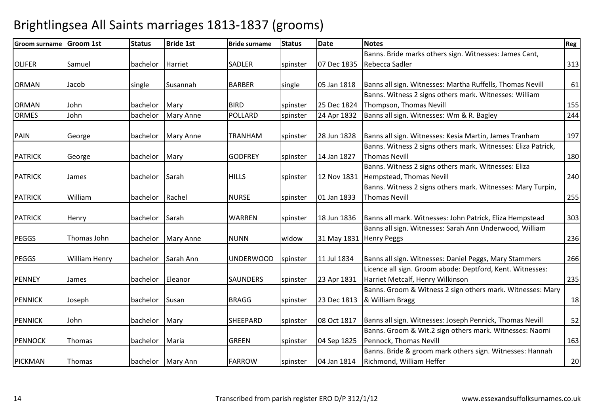| <b>Groom surname</b> | <b>Groom 1st</b>     | <b>Status</b>    | <b>Bride 1st</b>   | <b>Bride surname</b> | <b>Status</b> | <b>Date</b>             | <b>Notes</b>                                                  | Reg |
|----------------------|----------------------|------------------|--------------------|----------------------|---------------|-------------------------|---------------------------------------------------------------|-----|
|                      |                      |                  |                    |                      |               |                         | Banns. Bride marks others sign. Witnesses: James Cant,        |     |
| <b>OLIFER</b>        | Samuel               | bachelor         | Harriet            | <b>SADLER</b>        | spinster      | 07 Dec 1835             | Rebecca Sadler                                                | 313 |
|                      |                      |                  |                    |                      |               |                         |                                                               |     |
| <b>ORMAN</b>         | Jacob                | single           | Susannah           | <b>BARBER</b>        | single        | 05 Jan 1818             | Banns all sign. Witnesses: Martha Ruffells, Thomas Nevill     | 61  |
|                      |                      |                  |                    |                      |               |                         | Banns. Witness 2 signs others mark. Witnesses: William        |     |
| <b>ORMAN</b>         | John                 | bachelor         | Mary               | <b>BIRD</b>          | spinster      | 25 Dec 1824             | Thompson, Thomas Nevill                                       | 155 |
| <b>ORMES</b>         | John                 | bachelor         | <b>Mary Anne</b>   | POLLARD              | spinster      | 24 Apr 1832             | Banns all sign. Witnesses: Wm & R. Bagley                     | 244 |
| <b>PAIN</b>          | George               | bachelor         | <b>Mary Anne</b>   | TRANHAM              | spinster      | 28 Jun 1828             | Banns all sign. Witnesses: Kesia Martin, James Tranham        | 197 |
|                      |                      |                  |                    |                      |               |                         | Banns. Witness 2 signs others mark. Witnesses: Eliza Patrick, |     |
| <b>PATRICK</b>       | George               | bachelor Mary    |                    | <b>GODFREY</b>       | spinster      | 14 Jan 1827             | <b>Thomas Nevill</b>                                          | 180 |
|                      |                      |                  |                    |                      |               |                         | Banns. Witness 2 signs others mark. Witnesses: Eliza          |     |
| <b>PATRICK</b>       | James                | bachelor Sarah   |                    | <b>HILLS</b>         | spinster      | 12 Nov 1831             | Hempstead, Thomas Nevill                                      | 240 |
|                      |                      |                  |                    |                      |               |                         | Banns. Witness 2 signs others mark. Witnesses: Mary Turpin,   |     |
| <b>PATRICK</b>       | William              | bachelor         | Rachel             | <b>NURSE</b>         | spinster      | 01 Jan 1833             | <b>Thomas Nevill</b>                                          | 255 |
|                      |                      |                  |                    |                      |               |                         |                                                               |     |
| <b>PATRICK</b>       | Henry                | bachelor         | Sarah              | WARREN               | spinster      | 18 Jun 1836             | Banns all mark. Witnesses: John Patrick, Eliza Hempstead      | 303 |
|                      |                      |                  |                    |                      |               |                         | Banns all sign. Witnesses: Sarah Ann Underwood, William       |     |
| <b>PEGGS</b>         | Thomas John          |                  | bachelor Mary Anne | <b>NUNN</b>          | widow         | 31 May 1831 Henry Peggs |                                                               | 236 |
| <b>PEGGS</b>         | <b>William Henry</b> | bachelor         | Sarah Ann          | UNDERWOOD            | spinster      | 11 Jul 1834             | Banns all sign. Witnesses: Daniel Peggs, Mary Stammers        | 266 |
|                      |                      |                  |                    |                      |               |                         | Licence all sign. Groom abode: Deptford, Kent. Witnesses:     |     |
| <b>PENNEY</b>        | James                | bachelor Eleanor |                    | <b>SAUNDERS</b>      | spinster      | 23 Apr 1831             | Harriet Metcalf, Henry Wilkinson                              | 235 |
|                      |                      |                  |                    |                      |               |                         | Banns. Groom & Witness 2 sign others mark. Witnesses: Mary    |     |
| <b>PENNICK</b>       | Joseph               | bachelor Susan   |                    | <b>BRAGG</b>         | spinster      | 23 Dec 1813             | & William Bragg                                               | 18  |
|                      |                      |                  |                    |                      |               |                         |                                                               |     |
| <b>PENNICK</b>       | John                 | bachelor         | Mary               | SHEEPARD             | spinster      | 08 Oct 1817             | Banns all sign. Witnesses: Joseph Pennick, Thomas Nevill      | 52  |
|                      |                      |                  |                    |                      |               |                         | Banns. Groom & Wit.2 sign others mark. Witnesses: Naomi       |     |
| <b>PENNOCK</b>       | Thomas               | bachelor         | Maria              | <b>GREEN</b>         | spinster      | 04 Sep 1825             | Pennock, Thomas Nevill                                        | 163 |
|                      |                      |                  |                    |                      |               |                         | Banns. Bride & groom mark others sign. Witnesses: Hannah      |     |
| <b>PICKMAN</b>       | Thomas               |                  | bachelor Mary Ann  | <b>FARROW</b>        | spinster      | 04 Jan 1814             | Richmond, William Heffer                                      | 20  |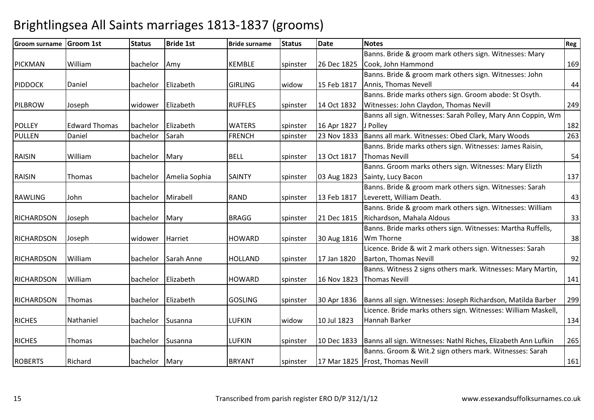#### Groom surname Groom 1st Status Bride 1st Bride surname Status Datee Notes Reg PICKMAN William bachelor Amy KEMBLE spinster 26 Dec 1825 Banns. Bride & groom mark others sign. Witnesses: Mary Cook, John Hammondd 169 PIDDOCKK Daniel bachelor Elizabeth GIRLING widow 15 Feb 1817 Banns. Bride & groom mark others sign. Witnesses: John Annis, Thomas Nevell $\begin{array}{ccc} \hline \end{array}$ PILBROWW Joseph Widower Elizabeth RUFFLES spinster 14 Oct 1832<br>Notes Banns. Bride marks others sign. Groom abode: St Osyth. Witnesses: John Claydon, Thomas Nevill 249POLLEYY Fedward Thomas bachelor Elizabeth MATERS spinster 16 Apr 1827 23 Nov 1833 Banns all sign. Witnesses: Sarah Polley, Mary Ann Coppin, Wm J Polleyy 182 263 PULLENDaniel bachelor Sarah FRENCH spinster 23 Nov 1833 Banns all mark. Witnesses: Obed Clark, Mary Woods RAISIN Williamm bachelor Mary BELL spinster 13 Oct 1817 Banns. Bride marks others sign. Witnesses: James Raisin, Thomas Nevill 54RAISINN Thomas bachelor Amelia Sophia SAINTY spinster 03 Aug 1823 Banns. Groom marks others sign. Witnesses: Mary Elizth Sainty, Lucy Baconn 137 RAWLINGG John bachelor Mirabell RAND spinster 13 Feb 1817 Banns. Bride & groom mark others sign. Witnesses: Sarah Leverett, William Death. $\sim$  43 **RICHARDSON** N Joseph **bachelor Mary BRAGG** spinster 21 Dec 1815 Banns. Bride & groom mark others sign. Witnesses: William Richardson, Mahala Aldouss and  $\sim$  33 **RICHARDSON** N Joseph Widower Harriet HOWARD spinster 30 Aug 1816 Banns. Bride marks others sign. Witnesses: Martha Ruffells, Wm Thorne e 38 **RICHARDSON**  William bachelor Sarah Anne HOLLAND spinster 17 Jan 1820 Licence. Bride & wit 2 mark others sign. Witnesses: Sarah Barton, Thomas Nevill 92**RICHARDSON**  Williamm bachelor Elizabeth HOWARD spinster 16 Nov 1823 Banns. Witness 2 signs others mark. Witnesses: Mary Martin, Thomas Nevill 141**RICHARDSON**  Thomas bachelor Elizabeth GOSLING spinster 30 Apr 1836 Banns all sign. Witnesses: Joseph Richardson, Matilda Barber <sup>299</sup> RICHESS Nathaniel | bachelor Susanna | LUFKIN | widow 10 Jul 1823 Licence. Bride marks others sign. Witnesses: William Maskell, Hannah Barker 134 **RICHES** S Thomas bachelor Susanna LUFKIN spinster 10 Dec 1833 Banns all sign. Witnesses: Nathl Riches, Elizabeth Ann Lufkin <sup>265</sup> ROBERTS Richard bachelor Mary BRYANT spinster 17 Mar 1825Banns. Groom & Wit.2 sign others mark. Witnesses: Sarah Frost, Thomas Nevill161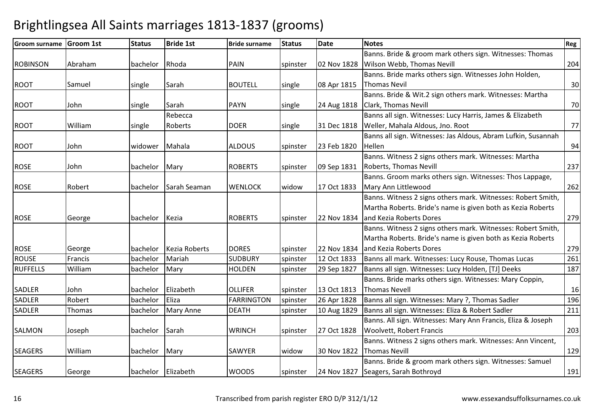| <b>Groom surname Groom 1st</b> |         | <b>Status</b> | <b>Bride 1st</b>     | <b>Bride surname</b> | <b>Status</b> | <b>Date</b> | <b>Notes</b>                                                  | <b>Reg</b> |
|--------------------------------|---------|---------------|----------------------|----------------------|---------------|-------------|---------------------------------------------------------------|------------|
|                                |         |               |                      |                      |               |             | Banns. Bride & groom mark others sign. Witnesses: Thomas      |            |
| <b>ROBINSON</b>                | Abraham | bachelor      | Rhoda                | PAIN                 | spinster      | 02 Nov 1828 | Wilson Webb, Thomas Nevill                                    | 204        |
|                                |         |               |                      |                      |               |             | Banns. Bride marks others sign. Witnesses John Holden,        |            |
| <b>ROOT</b>                    | Samuel  | single        | Sarah                | <b>BOUTELL</b>       | single        | 08 Apr 1815 | <b>Thomas Nevil</b>                                           | 30         |
|                                |         |               |                      |                      |               |             | Banns. Bride & Wit.2 sign others mark. Witnesses: Martha      |            |
| <b>ROOT</b>                    | John    | single        | Sarah                | <b>PAYN</b>          | single        | 24 Aug 1818 | <b>Clark, Thomas Nevill</b>                                   | 70         |
|                                |         |               | Rebecca              |                      |               |             | Banns all sign. Witnesses: Lucy Harris, James & Elizabeth     |            |
| <b>ROOT</b>                    | William | single        | Roberts              | <b>DOER</b>          | single        | 31 Dec 1818 | Weller, Mahala Aldous, Jno. Root                              | 77         |
|                                |         |               |                      |                      |               |             | Banns all sign. Witnesses: Jas Aldous, Abram Lufkin, Susannah |            |
| <b>ROOT</b>                    | John    | widower       | Mahala               | <b>ALDOUS</b>        | spinster      | 23 Feb 1820 | Hellen                                                        | 94         |
|                                |         |               |                      |                      |               |             | Banns. Witness 2 signs others mark. Witnesses: Martha         |            |
| <b>ROSE</b>                    | John    | bachelor      | Mary                 | <b>ROBERTS</b>       | spinster      | 09 Sep 1831 | Roberts, Thomas Nevill                                        | 237        |
|                                |         |               |                      |                      |               |             | Banns. Groom marks others sign. Witnesses: Thos Lappage,      |            |
| <b>ROSE</b>                    | Robert  | bachelor      | Sarah Seaman         | <b>WENLOCK</b>       | widow         | 17 Oct 1833 | Mary Ann Littlewood                                           | 262        |
|                                |         |               |                      |                      |               |             | Banns. Witness 2 signs others mark. Witnesses: Robert Smith,  |            |
|                                |         |               |                      |                      |               |             | Martha Roberts. Bride's name is given both as Kezia Roberts   |            |
| <b>ROSE</b>                    | George  | bachelor      | Kezia                | <b>ROBERTS</b>       | spinster      | 22 Nov 1834 | and Kezia Roberts Dores                                       | 279        |
|                                |         |               |                      |                      |               |             | Banns. Witness 2 signs others mark. Witnesses: Robert Smith,  |            |
|                                |         |               |                      |                      |               |             | Martha Roberts. Bride's name is given both as Kezia Roberts   |            |
| <b>ROSE</b>                    | George  | bachelor      | <b>Kezia Roberts</b> | <b>DORES</b>         | spinster      | 22 Nov 1834 | and Kezia Roberts Dores                                       | 279        |
| <b>ROUSE</b>                   | Francis | bachelor      | Mariah               | <b>SUDBURY</b>       | spinster      | 12 Oct 1833 | Banns all mark. Witnesses: Lucy Rouse, Thomas Lucas           | 261        |
| <b>RUFFELLS</b>                | William | bachelor      | Mary                 | <b>HOLDEN</b>        | spinster      | 29 Sep 1827 | Banns all sign. Witnesses: Lucy Holden, [TJ] Deeks            | 187        |
|                                |         |               |                      |                      |               |             | Banns. Bride marks others sign. Witnesses: Mary Coppin,       |            |
| SADLER                         | John    | bachelor      | Elizabeth            | <b>OLLIFER</b>       | spinster      | 13 Oct 1813 | Thomas Nevell                                                 | 16         |
| SADLER                         | Robert  | bachelor      | Eliza                | <b>FARRINGTON</b>    | spinster      | 26 Apr 1828 | Banns all sign. Witnesses: Mary ?, Thomas Sadler              | 196        |
| <b>SADLER</b>                  | Thomas  | bachelor      | Mary Anne            | <b>DEATH</b>         | spinster      | 10 Aug 1829 | Banns all sign. Witnesses: Eliza & Robert Sadler              | 211        |
|                                |         |               |                      |                      |               |             | Banns. All sign. Witnesses: Mary Ann Francis, Eliza & Joseph  |            |
| <b>SALMON</b>                  | Joseph  | bachelor      | Sarah                | <b>WRINCH</b>        | spinster      | 27 Oct 1828 | Woolvett, Robert Francis                                      | 203        |
|                                |         |               |                      |                      |               |             | Banns. Witness 2 signs others mark. Witnesses: Ann Vincent,   |            |
| <b>SEAGERS</b>                 | William | bachelor      | Mary                 | <b>SAWYER</b>        | widow         | 30 Nov 1822 | <b>Thomas Nevill</b>                                          | 129        |
|                                |         |               |                      |                      |               |             | Banns. Bride & groom mark others sign. Witnesses: Samuel      |            |
| <b>SEAGERS</b>                 | George  | bachelor      | Elizabeth            | <b>WOODS</b>         | spinster      |             | 24 Nov 1827 Seagers, Sarah Bothroyd                           | 191        |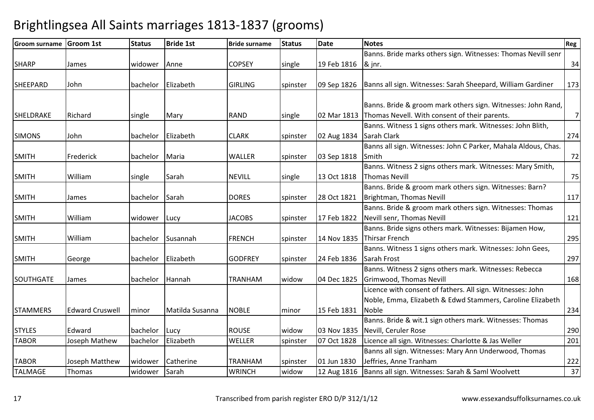| <b>Groom surname</b> | <b>Groom 1st</b>       | <b>Status</b> | <b>Bride 1st</b> | <b>Bride surname</b> | <b>Status</b> | <b>Date</b> | <b>Notes</b>                                                   | Reg            |
|----------------------|------------------------|---------------|------------------|----------------------|---------------|-------------|----------------------------------------------------------------|----------------|
|                      |                        |               |                  |                      |               |             | Banns. Bride marks others sign. Witnesses: Thomas Nevill senr  |                |
| <b>SHARP</b>         | James                  | widower       | Anne             | <b>COPSEY</b>        | single        | 19 Feb 1816 | & jnr.                                                         | 34             |
|                      |                        |               |                  |                      |               |             |                                                                |                |
| SHEEPARD             | John                   | bachelor      | Elizabeth        | <b>GIRLING</b>       | spinster      | 09 Sep 1826 | Banns all sign. Witnesses: Sarah Sheepard, William Gardiner    | 173            |
|                      |                        |               |                  |                      |               |             |                                                                |                |
|                      |                        |               |                  |                      |               |             | Banns. Bride & groom mark others sign. Witnesses: John Rand,   |                |
| SHELDRAKE            | Richard                | single        | Mary             | <b>RAND</b>          | single        |             | 02 Mar 1813 Thomas Nevell. With consent of their parents.      | $\overline{7}$ |
|                      |                        |               |                  |                      |               |             | Banns. Witness 1 signs others mark. Witnesses: John Blith,     |                |
| <b>SIMONS</b>        | John                   | bachelor      | Elizabeth        | <b>CLARK</b>         | spinster      | 02 Aug 1834 | Sarah Clark                                                    | 274            |
|                      |                        |               |                  |                      |               |             | Banns all sign. Witnesses: John C Parker, Mahala Aldous, Chas. |                |
| <b>SMITH</b>         | Frederick              | bachelor      | Maria            | WALLER               | spinster      | 03 Sep 1818 | Smith                                                          | 72             |
|                      |                        |               |                  |                      |               |             | Banns. Witness 2 signs others mark. Witnesses: Mary Smith,     |                |
| <b>SMITH</b>         | William                | single        | Sarah            | <b>NEVILL</b>        | single        | 13 Oct 1818 | <b>Thomas Nevill</b>                                           | 75             |
|                      |                        |               |                  |                      |               |             | Banns. Bride & groom mark others sign. Witnesses: Barn?        |                |
| <b>SMITH</b>         | James                  | bachelor      | Sarah            | <b>DORES</b>         | spinster      | 28 Oct 1821 | Brightman, Thomas Nevill                                       | 117            |
|                      |                        |               |                  |                      |               |             | Banns. Bride & groom mark others sign. Witnesses: Thomas       |                |
| <b>SMITH</b>         | William                | widower       | Lucy             | <b>JACOBS</b>        | spinster      | 17 Feb 1822 | Nevill senr, Thomas Nevill                                     | 121            |
|                      |                        |               |                  |                      |               |             | Banns. Bride signs others mark. Witnesses: Bijamen How,        |                |
| <b>SMITH</b>         | William                | bachelor      | Susannah         | <b>FRENCH</b>        | spinster      | 14 Nov 1835 | <b>Thirsar French</b>                                          | 295            |
|                      |                        |               |                  |                      |               |             | Banns. Witness 1 signs others mark. Witnesses: John Gees,      |                |
| <b>SMITH</b>         | George                 | bachelor      | Elizabeth        | <b>GODFREY</b>       | spinster      | 24 Feb 1836 | Sarah Frost                                                    | 297            |
|                      |                        |               |                  |                      |               |             | Banns. Witness 2 signs others mark. Witnesses: Rebecca         |                |
| <b>SOUTHGATE</b>     | James                  | bachelor      | Hannah           | <b>TRANHAM</b>       | widow         | 04 Dec 1825 | Grimwood, Thomas Nevill                                        | 168            |
|                      |                        |               |                  |                      |               |             | Licence with consent of fathers. All sign. Witnesses: John     |                |
|                      |                        |               |                  |                      |               |             | Noble, Emma, Elizabeth & Edwd Stammers, Caroline Elizabeth     |                |
| <b>STAMMERS</b>      | <b>Edward Cruswell</b> | minor         | Matilda Susanna  | <b>NOBLE</b>         | minor         | 15 Feb 1831 | Noble                                                          | 234            |
|                      |                        |               |                  |                      |               |             | Banns. Bride & wit.1 sign others mark. Witnesses: Thomas       |                |
| <b>STYLES</b>        | Edward                 | bachelor      | Lucy             | <b>ROUSE</b>         | widow         | 03 Nov 1835 | Nevill, Ceruler Rose                                           | 290            |
| <b>TABOR</b>         | Joseph Mathew          | bachelor      | Elizabeth        | WELLER               | spinster      | 07 Oct 1828 | Licence all sign. Witnesses: Charlotte & Jas Weller            | 201            |
|                      |                        |               |                  |                      |               |             | Banns all sign. Witnesses: Mary Ann Underwood, Thomas          |                |
| <b>TABOR</b>         | Joseph Matthew         | widower       | Catherine        | <b>TRANHAM</b>       | spinster      | 01 Jun 1830 | Jeffries, Anne Tranham                                         | 222            |
| <b>TALMAGE</b>       | Thomas                 | widower       | Sarah            | <b>WRINCH</b>        | widow         | 12 Aug 1816 | Banns all sign. Witnesses: Sarah & Saml Woolvett               | 37             |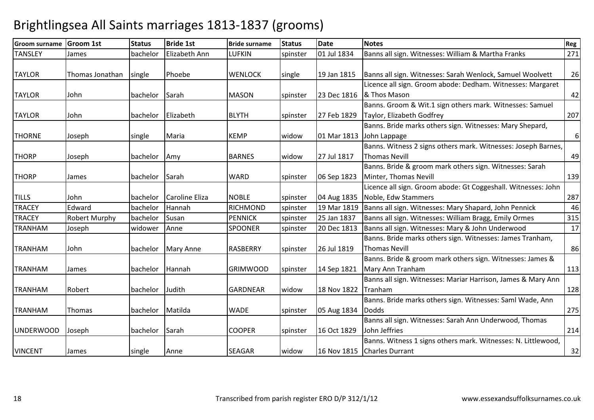| <b>Groom surname</b> | <b>Groom 1st</b> | <b>Status</b> | <b>Bride 1st</b> | <b>Bride surname</b> | <b>Status</b> | <b>Date</b> | <b>Notes</b>                                                  | Reg |
|----------------------|------------------|---------------|------------------|----------------------|---------------|-------------|---------------------------------------------------------------|-----|
| <b>TANSLEY</b>       | James            | bachelor      | Elizabeth Ann    | LUFKIN               | spinster      | 01 Jul 1834 | Banns all sign. Witnesses: William & Martha Franks            | 271 |
|                      |                  |               |                  |                      |               |             |                                                               |     |
| <b>TAYLOR</b>        | Thomas Jonathan  | single        | Phoebe           | <b>WENLOCK</b>       | single        | 19 Jan 1815 | Banns all sign. Witnesses: Sarah Wenlock, Samuel Woolvett     | 26  |
|                      |                  |               |                  |                      |               |             | Licence all sign. Groom abode: Dedham. Witnesses: Margaret    |     |
| <b>TAYLOR</b>        | John             | bachelor      | Sarah            | <b>MASON</b>         | spinster      | 23 Dec 1816 | & Thos Mason                                                  | 42  |
|                      |                  |               |                  |                      |               |             | Banns. Groom & Wit.1 sign others mark. Witnesses: Samuel      |     |
| <b>TAYLOR</b>        | John             | bachelor      | Elizabeth        | <b>BLYTH</b>         | spinster      | 27 Feb 1829 | Taylor, Elizabeth Godfrey                                     | 207 |
|                      |                  |               |                  |                      |               |             | Banns. Bride marks others sign. Witnesses: Mary Shepard,      |     |
| <b>THORNE</b>        | Joseph           | single        | Maria            | <b>KEMP</b>          | widow         | 01 Mar 1813 | John Lappage                                                  | 6   |
|                      |                  |               |                  |                      |               |             | Banns. Witness 2 signs others mark. Witnesses: Joseph Barnes, |     |
| <b>THORP</b>         | Joseph           | bachelor      | Amy              | <b>BARNES</b>        | widow         | 27 Jul 1817 | <b>Thomas Nevill</b>                                          | 49  |
|                      |                  |               |                  |                      |               |             | Banns. Bride & groom mark others sign. Witnesses: Sarah       |     |
| <b>THORP</b>         | James            | bachelor      | Sarah            | <b>WARD</b>          | spinster      | 06 Sep 1823 | Minter, Thomas Nevill                                         | 139 |
|                      |                  |               |                  |                      |               |             | Licence all sign. Groom abode: Gt Coggeshall. Witnesses: John |     |
| <b>TILLS</b>         | John             | bachelor      | Caroline Eliza   | <b>NOBLE</b>         | spinster      | 04 Aug 1835 | Noble, Edw Stammers                                           | 287 |
| <b>TRACEY</b>        | Edward           | bachelor      | Hannah           | <b>RICHMOND</b>      | spinster      | 19 Mar 1819 | Banns all sign. Witnesses: Mary Shapard, John Pennick         | 46  |
| <b>TRACEY</b>        | Robert Murphy    | bachelor      | Susan            | <b>PENNICK</b>       | spinster      | 25 Jan 1837 | Banns all sign. Witnesses: William Bragg, Emily Ormes         | 315 |
| <b>TRANHAM</b>       | Joseph           | widower       | Anne             | <b>SPOONER</b>       | spinster      | 20 Dec 1813 | Banns all sign. Witnesses: Mary & John Underwood              | 17  |
|                      |                  |               |                  |                      |               |             | Banns. Bride marks others sign. Witnesses: James Tranham,     |     |
| <b>TRANHAM</b>       | John             | bachelor      | <b>Mary Anne</b> | <b>RASBERRY</b>      | spinster      | 26 Jul 1819 | <b>Thomas Nevill</b>                                          | 86  |
|                      |                  |               |                  |                      |               |             | Banns. Bride & groom mark others sign. Witnesses: James &     |     |
| <b>TRANHAM</b>       | James            | bachelor      | Hannah           | <b>GRIMWOOD</b>      | spinster      | 14 Sep 1821 | Mary Ann Tranham                                              | 113 |
|                      |                  |               |                  |                      |               |             | Banns all sign. Witnesses: Mariar Harrison, James & Mary Ann  |     |
| <b>TRANHAM</b>       | Robert           | bachelor      | Judith           | <b>GARDNEAR</b>      | widow         | 18 Nov 1822 | Tranham                                                       | 128 |
|                      |                  |               |                  |                      |               |             | Banns. Bride marks others sign. Witnesses: Saml Wade, Ann     |     |
| <b>TRANHAM</b>       | Thomas           | bachelor      | Matilda          | <b>WADE</b>          | spinster      | 05 Aug 1834 | <b>Dodds</b>                                                  | 275 |
|                      |                  |               |                  |                      |               |             | Banns all sign. Witnesses: Sarah Ann Underwood, Thomas        |     |
| <b>UNDERWOOD</b>     | Joseph           | bachelor      | Sarah            | <b>COOPER</b>        | spinster      | 16 Oct 1829 | John Jeffries                                                 | 214 |
|                      |                  |               |                  |                      |               |             | Banns. Witness 1 signs others mark. Witnesses: N. Littlewood, |     |
| <b>VINCENT</b>       | James            | single        | Anne             | <b>SEAGAR</b>        | widow         | 16 Nov 1815 | <b>Charles Durrant</b>                                        | 32  |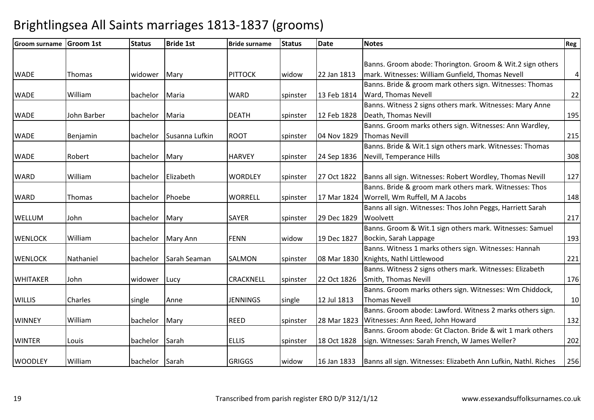| <b>Groom surname</b> | <b>Groom 1st</b> | <b>Status</b> | <b>Bride 1st</b> | <b>Bride surname</b> | <b>Status</b> | <b>Date</b> | <b>Notes</b>                                                                 | Reg             |
|----------------------|------------------|---------------|------------------|----------------------|---------------|-------------|------------------------------------------------------------------------------|-----------------|
|                      |                  |               |                  |                      |               |             |                                                                              |                 |
|                      |                  |               |                  |                      |               |             | Banns. Groom abode: Thorington. Groom & Wit.2 sign others                    |                 |
| <b>WADE</b>          | Thomas           | widower       | Mary             | <b>PITTOCK</b>       | widow         | 22 Jan 1813 | mark. Witnesses: William Gunfield, Thomas Nevell                             | $\vert 4 \vert$ |
|                      |                  |               |                  |                      |               |             | Banns. Bride & groom mark others sign. Witnesses: Thomas                     |                 |
| <b>WADE</b>          | William          | bachelor      | Maria            | <b>WARD</b>          | spinster      | 13 Feb 1814 | <b>Ward, Thomas Nevell</b>                                                   | 22              |
|                      |                  |               |                  |                      |               |             | Banns. Witness 2 signs others mark. Witnesses: Mary Anne                     |                 |
| <b>WADE</b>          | John Barber      | bachelor      | Maria            | <b>DEATH</b>         | spinster      | 12 Feb 1828 | Death, Thomas Nevill                                                         | 195             |
|                      |                  |               |                  |                      |               |             | Banns. Groom marks others sign. Witnesses: Ann Wardley,                      |                 |
| <b>WADE</b>          | Benjamin         | bachelor      | Susanna Lufkin   | <b>ROOT</b>          | spinster      | 04 Nov 1829 | <b>Thomas Nevill</b>                                                         | 215             |
|                      |                  |               |                  |                      |               |             | Banns. Bride & Wit.1 sign others mark. Witnesses: Thomas                     |                 |
| <b>WADE</b>          | Robert           | bachelor      | Mary             | <b>HARVEY</b>        | spinster      | 24 Sep 1836 | Nevill, Temperance Hills                                                     | 308             |
|                      |                  |               |                  |                      |               |             |                                                                              |                 |
| <b>WARD</b>          | William          | bachelor      | Elizabeth        | <b>WORDLEY</b>       | spinster      | 27 Oct 1822 | Banns all sign. Witnesses: Robert Wordley, Thomas Nevill                     | 127             |
|                      |                  |               |                  |                      |               |             | Banns. Bride & groom mark others mark. Witnesses: Thos                       |                 |
| <b>WARD</b>          | Thomas           | bachelor      | Phoebe           | <b>WORRELL</b>       | spinster      |             | 17 Mar 1824 Worrell, Wm Ruffell, M A Jacobs                                  | 148             |
|                      |                  |               |                  |                      |               |             | Banns all sign. Witnesses: Thos John Peggs, Harriett Sarah                   |                 |
| WELLUM               | John             | bachelor      | Mary             | <b>SAYER</b>         | spinster      | 29 Dec 1829 | Woolvett                                                                     | 217             |
|                      |                  |               |                  |                      |               |             | Banns. Groom & Wit.1 sign others mark. Witnesses: Samuel                     |                 |
| <b>WENLOCK</b>       | William          | bachelor      | Mary Ann         | <b>FENN</b>          | widow         | 19 Dec 1827 | Bockin, Sarah Lappage                                                        | 193             |
|                      |                  |               |                  |                      |               |             | Banns. Witness 1 marks others sign. Witnesses: Hannah                        |                 |
| <b>WENLOCK</b>       | Nathaniel        | bachelor      | Sarah Seaman     | <b>SALMON</b>        | spinster      |             | 08 Mar 1830   Knights, Nathl Littlewood                                      | 221             |
|                      |                  |               |                  |                      |               |             | Banns. Witness 2 signs others mark. Witnesses: Elizabeth                     |                 |
| <b>WHITAKER</b>      | John             | widower       | Lucy             | <b>CRACKNELL</b>     | spinster      | 22 Oct 1826 | Smith, Thomas Nevill                                                         | 176             |
|                      |                  |               |                  |                      |               |             | Banns. Groom marks others sign. Witnesses: Wm Chiddock,                      |                 |
| <b>WILLIS</b>        | Charles          | single        | Anne             | JENNINGS             | single        | 12 Jul 1813 | <b>Thomas Nevell</b>                                                         | 10              |
|                      |                  |               |                  |                      |               |             | Banns. Groom abode: Lawford. Witness 2 marks others sign.                    |                 |
| <b>WINNEY</b>        | William          | bachelor      | Mary             | <b>REED</b>          | spinster      |             | 28 Mar 1823   Witnesses: Ann Reed, John Howard                               | 132             |
|                      |                  |               |                  |                      |               |             | Banns. Groom abode: Gt Clacton. Bride & wit 1 mark others                    |                 |
| <b>WINTER</b>        | Louis            | bachelor      | Sarah            | <b>ELLIS</b>         | spinster      | 18 Oct 1828 | sign. Witnesses: Sarah French, W James Weller?                               | 202             |
|                      |                  |               |                  |                      |               |             |                                                                              |                 |
| <b>WOODLEY</b>       | William          | bachelor      | Sarah            | <b>GRIGGS</b>        | widow         |             | 16 Jan 1833   Banns all sign. Witnesses: Elizabeth Ann Lufkin, Nathl. Riches | 256             |